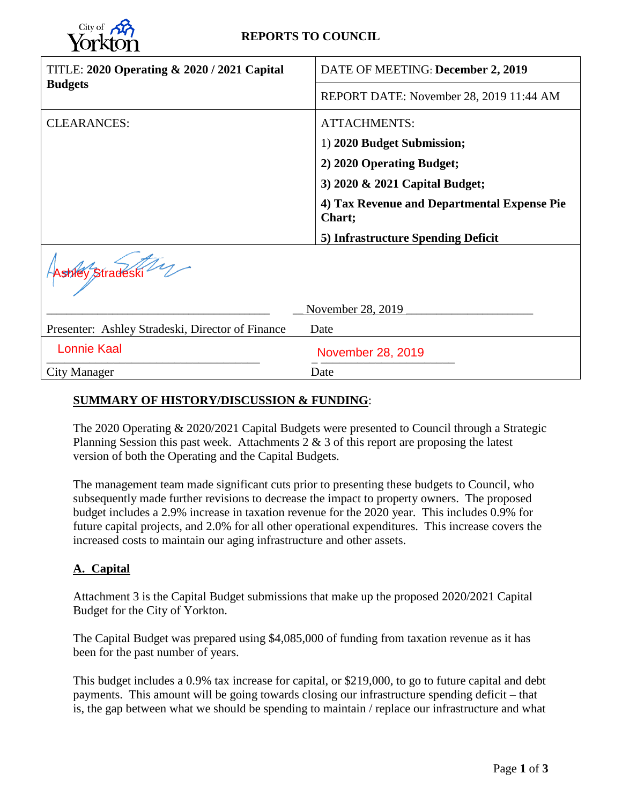

### **REPORTS TO COUNCIL**

| <b>TITLE: 2020 Operating &amp; 2020 / 2021 Capital</b> | DATE OF MEETING: December 2, 2019                     |  |  |  |
|--------------------------------------------------------|-------------------------------------------------------|--|--|--|
| <b>Budgets</b>                                         | REPORT DATE: November 28, 2019 11:44 AM               |  |  |  |
| <b>CLEARANCES:</b>                                     | <b>ATTACHMENTS:</b>                                   |  |  |  |
|                                                        | 1) 2020 Budget Submission;                            |  |  |  |
|                                                        | 2) 2020 Operating Budget;                             |  |  |  |
|                                                        | 3) 2020 & 2021 Capital Budget;                        |  |  |  |
|                                                        | 4) Tax Revenue and Departmental Expense Pie<br>Chart; |  |  |  |
|                                                        | 5) Infrastructure Spending Deficit                    |  |  |  |
| shiey Stradeski                                        |                                                       |  |  |  |
|                                                        | November 28, 2019                                     |  |  |  |
| Presenter: Ashley Stradeski, Director of Finance       | Date                                                  |  |  |  |
| <b>Lonnie Kaal</b>                                     | November 28, 2019                                     |  |  |  |
| City Manager                                           | Date                                                  |  |  |  |

### **SUMMARY OF HISTORY/DISCUSSION & FUNDING**:

The 2020 Operating & 2020/2021 Capital Budgets were presented to Council through a Strategic Planning Session this past week. Attachments 2 & 3 of this report are proposing the latest version of both the Operating and the Capital Budgets.

The management team made significant cuts prior to presenting these budgets to Council, who subsequently made further revisions to decrease the impact to property owners. The proposed budget includes a 2.9% increase in taxation revenue for the 2020 year. This includes 0.9% for future capital projects, and 2.0% for all other operational expenditures. This increase covers the increased costs to maintain our aging infrastructure and other assets.

### **A. Capital**

Attachment 3 is the Capital Budget submissions that make up the proposed 2020/2021 Capital Budget for the City of Yorkton.

The Capital Budget was prepared using \$4,085,000 of funding from taxation revenue as it has been for the past number of years.

This budget includes a 0.9% tax increase for capital, or \$219,000, to go to future capital and debt payments. This amount will be going towards closing our infrastructure spending deficit – that is, the gap between what we should be spending to maintain / replace our infrastructure and what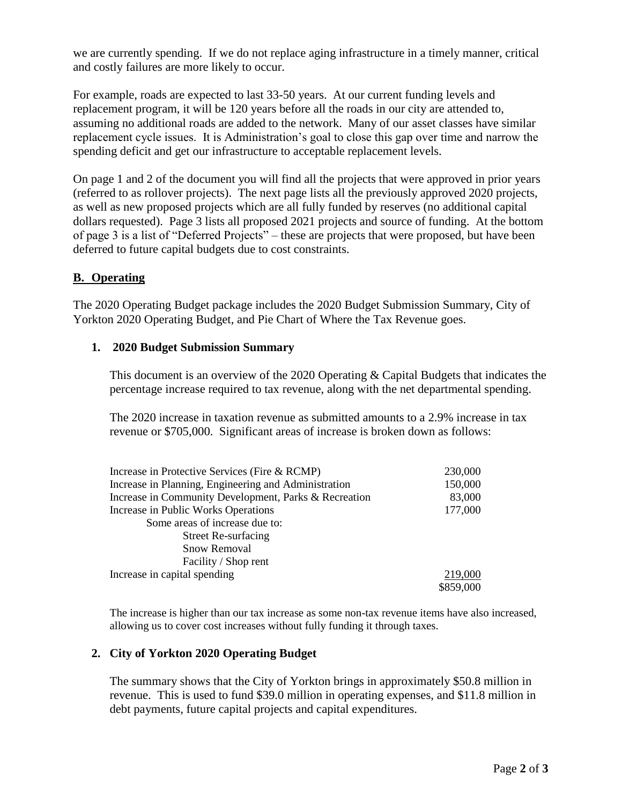we are currently spending. If we do not replace aging infrastructure in a timely manner, critical and costly failures are more likely to occur.

For example, roads are expected to last 33-50 years. At our current funding levels and replacement program, it will be 120 years before all the roads in our city are attended to, assuming no additional roads are added to the network. Many of our asset classes have similar replacement cycle issues. It is Administration's goal to close this gap over time and narrow the spending deficit and get our infrastructure to acceptable replacement levels.

On page 1 and 2 of the document you will find all the projects that were approved in prior years (referred to as rollover projects). The next page lists all the previously approved 2020 projects, as well as new proposed projects which are all fully funded by reserves (no additional capital dollars requested). Page 3 lists all proposed 2021 projects and source of funding. At the bottom of page 3 is a list of "Deferred Projects" – these are projects that were proposed, but have been deferred to future capital budgets due to cost constraints.

### **B. Operating**

The 2020 Operating Budget package includes the 2020 Budget Submission Summary, City of Yorkton 2020 Operating Budget, and Pie Chart of Where the Tax Revenue goes.

### **1. 2020 Budget Submission Summary**

This document is an overview of the 2020 Operating & Capital Budgets that indicates the percentage increase required to tax revenue, along with the net departmental spending.

The 2020 increase in taxation revenue as submitted amounts to a 2.9% increase in tax revenue or \$705,000. Significant areas of increase is broken down as follows:

| Increase in Protective Services (Fire & RCMP)         | 230,000   |
|-------------------------------------------------------|-----------|
| Increase in Planning, Engineering and Administration  | 150,000   |
| Increase in Community Development, Parks & Recreation | 83,000    |
| Increase in Public Works Operations                   | 177,000   |
| Some areas of increase due to:                        |           |
| <b>Street Re-surfacing</b>                            |           |
| <b>Snow Removal</b>                                   |           |
| Facility / Shop rent                                  |           |
| Increase in capital spending                          | 219,000   |
|                                                       | \$859,000 |

The increase is higher than our tax increase as some non-tax revenue items have also increased, allowing us to cover cost increases without fully funding it through taxes.

### **2. City of Yorkton 2020 Operating Budget**

The summary shows that the City of Yorkton brings in approximately \$50.8 million in revenue. This is used to fund \$39.0 million in operating expenses, and \$11.8 million in debt payments, future capital projects and capital expenditures.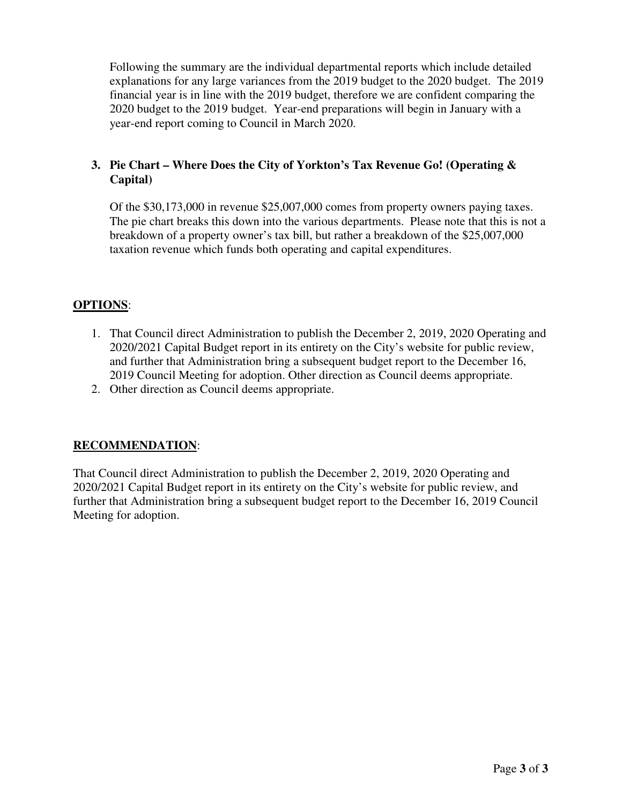Following the summary are the individual departmental reports which include detailed explanations for any large variances from the 2019 budget to the 2020 budget. The 2019 financial year is in line with the 2019 budget, therefore we are confident comparing the 2020 budget to the 2019 budget. Year-end preparations will begin in January with a year-end report coming to Council in March 2020.

### **3. Pie Chart – Where Does the City of Yorkton's Tax Revenue Go! (Operating & Capital)**

Of the \$30,173,000 in revenue \$25,007,000 comes from property owners paying taxes. The pie chart breaks this down into the various departments. Please note that this is not a breakdown of a property owner's tax bill, but rather a breakdown of the \$25,007,000 taxation revenue which funds both operating and capital expenditures.

### **OPTIONS**:

- 1. That Council direct Administration to publish the December 2, 2019, 2020 Operating and 2020/2021 Capital Budget report in its entirety on the City's website for public review, and further that Administration bring a subsequent budget report to the December 16, 2019 Council Meeting for adoption. Other direction as Council deems appropriate.
- 2. Other direction as Council deems appropriate.

### **RECOMMENDATION**:

That Council direct Administration to publish the December 2, 2019, 2020 Operating and 2020/2021 Capital Budget report in its entirety on the City's website for public review, and further that Administration bring a subsequent budget report to the December 16, 2019 Council Meeting for adoption.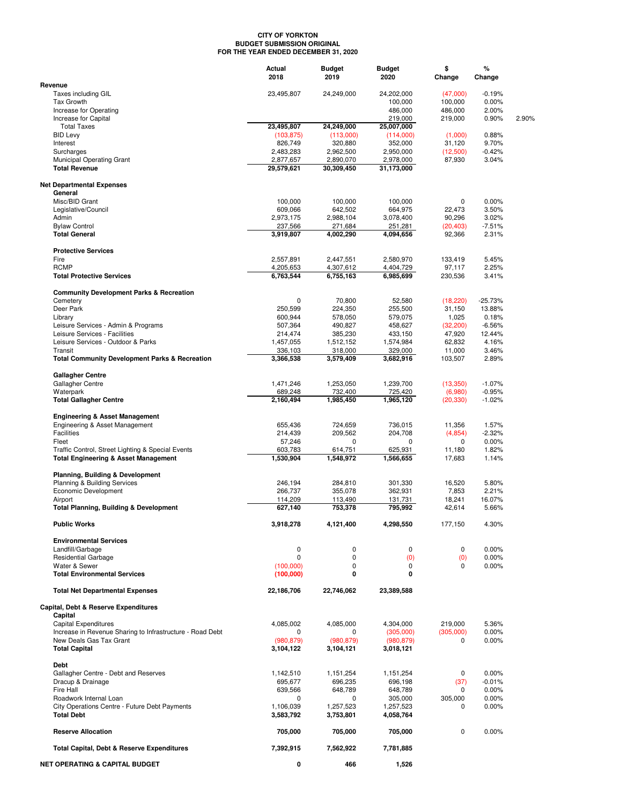#### **CITY OF YORKTON BUDGET SUBMISSION ORIGINAL FOR THE YEAR ENDED DECEMBER 31, 2020**

|                                                           | Actual<br>2018          | <b>Budget</b><br>2019   | Budget<br>2020          | \$<br>Change       | %<br>Change       |       |
|-----------------------------------------------------------|-------------------------|-------------------------|-------------------------|--------------------|-------------------|-------|
| Revenue                                                   |                         |                         |                         |                    |                   |       |
| Taxes including GIL                                       | 23,495,807              | 24,249,000              | 24,202,000              | (47,000)           | $-0.19%$          |       |
| <b>Tax Growth</b>                                         |                         |                         | 100,000                 | 100,000            | 0.00%             |       |
| Increase for Operating<br>Increase for Capital            |                         |                         | 486,000<br>219,000      | 486,000<br>219,000 | 2.00%<br>0.90%    | 2.90% |
| <b>Total Taxes</b>                                        | 23,495,807              | 24,249,000              | 25,007,000              |                    |                   |       |
| <b>BID Levy</b>                                           | (103, 875)              | (113,000)               | (114,000)               | (1,000)            | 0.88%             |       |
| Interest                                                  | 826,749                 | 320,880                 | 352,000                 | 31,120             | 9.70%             |       |
| Surcharges                                                | 2,483,283               | 2,962,500               | 2,950,000               | (12,500)           | $-0.42%$          |       |
| Municipal Operating Grant                                 | 2,877,657               | 2,890,070               | 2,978,000               | 87,930             | 3.04%             |       |
| <b>Total Revenue</b>                                      | 29,579,621              | 30,309,450              | 31,173,000              |                    |                   |       |
| <b>Net Departmental Expenses</b>                          |                         |                         |                         |                    |                   |       |
| General                                                   |                         |                         |                         |                    |                   |       |
| Misc/BID Grant                                            | 100,000                 | 100,000                 | 100,000                 | 0                  | 0.00%             |       |
| Legislative/Council<br>Admin                              | 609,066<br>2,973,175    | 642,502<br>2,988,104    | 664,975<br>3,078,400    | 22,473<br>90,296   | 3.50%<br>3.02%    |       |
| <b>Bylaw Control</b>                                      | 237,566                 | 271,684                 | 251,281                 | (20, 403)          | $-7.51%$          |       |
| <b>Total General</b>                                      | 3,919,807               | 4,002,290               | 4,094,656               | 92,366             | 2.31%             |       |
|                                                           |                         |                         |                         |                    |                   |       |
| <b>Protective Services</b>                                |                         |                         |                         |                    |                   |       |
| Fire                                                      | 2,557,891               | 2,447,551               | 2,580,970               | 133,419<br>97.117  | 5.45%             |       |
| <b>RCMP</b><br><b>Total Protective Services</b>           | 4,205,653<br>6,763,544  | 4,307,612<br>6,755,163  | 4,404,729<br>6,985,699  | 230,536            | 2.25%<br>3.41%    |       |
|                                                           |                         |                         |                         |                    |                   |       |
| <b>Community Development Parks &amp; Recreation</b>       |                         |                         |                         |                    |                   |       |
| Cemetery                                                  | $\mathbf 0$             | 70,800                  | 52,580                  | (18, 220)          | $-25.73%$         |       |
| Deer Park                                                 | 250,599                 | 224,350                 | 255,500                 | 31,150             | 13.88%            |       |
| Library<br>Leisure Services - Admin & Programs            | 600,944<br>507,364      | 578,050<br>490,827      | 579,075<br>458,627      | 1,025<br>(32, 200) | 0.18%<br>$-6.56%$ |       |
| Leisure Services - Facilities                             | 214,474                 | 385,230                 | 433,150                 | 47,920             | 12.44%            |       |
| Leisure Services - Outdoor & Parks                        | 1,457,055               | 1,512,152               | 1,574,984               | 62,832             | 4.16%             |       |
| Transit                                                   | 336,103                 | 318,000                 | 329,000                 | 11,000             | 3.46%             |       |
| <b>Total Community Development Parks &amp; Recreation</b> | 3,366,538               | 3,579,409               | 3,682,916               | 103,507            | 2.89%             |       |
| <b>Gallagher Centre</b>                                   |                         |                         |                         |                    |                   |       |
| Gallagher Centre                                          | 1,471,246               | 1,253,050               | 1,239,700               | (13,350)           | $-1.07%$          |       |
| Waterpark                                                 | 689,248                 | 732,400                 | 725,420                 | (6,980)            | $-0.95%$          |       |
| <b>Total Gallagher Centre</b>                             | 2,160,494               | 1,985,450               | 1,965,120               | (20, 330)          | $-1.02%$          |       |
| <b>Engineering &amp; Asset Management</b>                 |                         |                         |                         |                    |                   |       |
| Engineering & Asset Management                            | 655,436                 | 724,659                 | 736,015                 | 11,356             | 1.57%             |       |
| <b>Facilities</b>                                         | 214,439                 | 209,562                 | 204,708                 | (4, 854)           | $-2.32%$          |       |
| Fleet                                                     | 57,246                  | 0                       | 0                       | $\mathbf 0$        | 0.00%             |       |
| Traffic Control, Street Lighting & Special Events         | 603,783                 | 614,751                 | 625,931                 | 11,180             | 1.82%             |       |
| <b>Total Engineering &amp; Asset Management</b>           | 1,530,904               | 1,548,972               | 1,566,655               | 17,683             | 1.14%             |       |
| <b>Planning, Building &amp; Development</b>               |                         |                         |                         |                    |                   |       |
| Planning & Building Services                              | 246,194                 | 284,810                 | 301,330                 | 16,520             | 5.80%             |       |
| Economic Development                                      | 266,737                 | 355,078                 | 362,931                 | 7,853              | 2.21%             |       |
| Airport                                                   | 114,209                 | 113,490                 | 131,731                 | 18,241             | 16.07%            |       |
| <b>Total Planning, Building &amp; Development</b>         | 627,140                 | 753,378                 | 795,992                 | 42,614             | 5.66%             |       |
| <b>Public Works</b>                                       | 3,918,278               | 4,121,400               | 4,298,550               | 177,150            | 4.30%             |       |
| <b>Environmental Services</b>                             |                         |                         |                         |                    |                   |       |
| Landfill/Garbage                                          | $\pmb{0}$               | 0                       | 0                       | 0                  | 0.00%             |       |
| <b>Residential Garbage</b>                                | $\mathbf 0$             | 0                       | (0)                     | (0)                | 0.00%             |       |
| Water & Sewer                                             | (100,000)               | 0                       | 0                       | 0                  | 0.00%             |       |
| <b>Total Environmental Services</b>                       | (100,000)               | 0                       | 0                       |                    |                   |       |
| <b>Total Net Departmental Expenses</b>                    | 22,186,706              | 22,746,062              | 23,389,588              |                    |                   |       |
| Capital, Debt & Reserve Expenditures                      |                         |                         |                         |                    |                   |       |
| Capital                                                   |                         |                         |                         |                    |                   |       |
| <b>Capital Expenditures</b>                               | 4,085,002               | 4,085,000               | 4,304,000               | 219,000            | 5.36%             |       |
| Increase in Revenue Sharing to Infrastructure - Road Debt | 0                       | 0                       | (305,000)               | (305,000)          | 0.00%             |       |
| New Deals Gas Tax Grant<br><b>Total Capital</b>           | (980, 879)<br>3,104,122 | (980, 879)<br>3,104,121 | (980, 879)<br>3,018,121 | 0                  | 0.00%             |       |
|                                                           |                         |                         |                         |                    |                   |       |
| <b>Debt</b>                                               |                         |                         |                         |                    |                   |       |
| Gallagher Centre - Debt and Reserves<br>Dracup & Drainage | 1,142,510<br>695,677    | 1,151,254<br>696,235    | 1,151,254<br>696,198    | 0<br>(37)          | 0.00%<br>$-0.01%$ |       |
| Fire Hall                                                 | 639,566                 | 648,789                 | 648,789                 | 0                  | 0.00%             |       |
| Roadwork Internal Loan                                    | 0                       | 0                       | 305,000                 | 305,000            | 0.00%             |       |
| City Operations Centre - Future Debt Payments             | 1,106,039               | 1,257,523               | 1,257,523               | 0                  | 0.00%             |       |
| <b>Total Debt</b>                                         | 3,583,792               | 3,753,801               | 4,058,764               |                    |                   |       |
| <b>Reserve Allocation</b>                                 | 705,000                 | 705,000                 | 705,000                 | 0                  | 0.00%             |       |
|                                                           |                         |                         |                         |                    |                   |       |
| Total Capital, Debt & Reserve Expenditures                | 7,392,915               | 7,562,922               | 7,781,885               |                    |                   |       |
| <b>NET OPERATING &amp; CAPITAL BUDGET</b>                 | 0                       | 466                     | 1,526                   |                    |                   |       |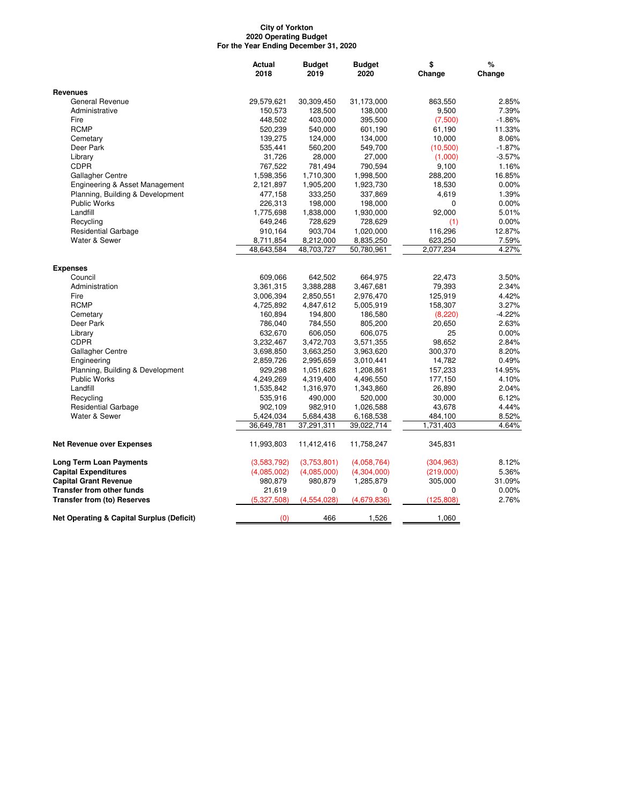#### **City of Yorkton 2020 Operating Budget For the Year Ending December 31, 2020**

|                                                      | Actual      | <b>Budget</b> | <b>Budget</b> | \$         | %        |
|------------------------------------------------------|-------------|---------------|---------------|------------|----------|
|                                                      | 2018        | 2019          | 2020          | Change     | Change   |
| <b>Revenues</b>                                      |             |               |               |            |          |
| General Revenue                                      | 29,579,621  | 30,309,450    | 31,173,000    | 863,550    | 2.85%    |
| Administrative                                       | 150,573     | 128,500       | 138,000       | 9,500      | 7.39%    |
| Fire                                                 | 448,502     | 403,000       | 395,500       | (7,500)    | $-1.86%$ |
| <b>RCMP</b>                                          | 520,239     | 540,000       | 601,190       | 61,190     | 11.33%   |
| Cemetary                                             | 139,275     | 124,000       | 134,000       | 10,000     | 8.06%    |
| Deer Park                                            | 535,441     | 560,200       | 549,700       | (10,500)   | $-1.87%$ |
| Library                                              | 31,726      | 28,000        | 27,000        | (1,000)    | $-3.57%$ |
| <b>CDPR</b>                                          | 767,522     | 781,494       | 790,594       | 9,100      | 1.16%    |
| Gallagher Centre                                     | 1,598,356   | 1,710,300     | 1,998,500     | 288,200    | 16.85%   |
| Engineering & Asset Management                       | 2,121,897   | 1,905,200     | 1,923,730     | 18,530     | $0.00\%$ |
| Planning, Building & Development                     | 477,158     | 333,250       | 337,869       | 4,619      | 1.39%    |
| <b>Public Works</b>                                  | 226,313     | 198,000       | 198,000       | 0          | $0.00\%$ |
| Landfill                                             | 1,775,698   | 1,838,000     | 1,930,000     | 92,000     | 5.01%    |
| Recycling                                            | 649,246     | 728,629       | 728,629       | (1)        | 0.00%    |
| <b>Residential Garbage</b>                           | 910,164     | 903,704       | 1,020,000     | 116,296    | 12.87%   |
| Water & Sewer                                        | 8,711,854   | 8,212,000     | 8,835,250     | 623,250    | 7.59%    |
|                                                      | 48,643,584  | 48,703,727    | 50,780,961    | 2,077,234  | 4.27%    |
| <b>Expenses</b>                                      |             |               |               |            |          |
| Council                                              | 609,066     | 642,502       | 664,975       | 22.473     | 3.50%    |
| Administration                                       | 3,361,315   | 3,388,288     | 3,467,681     | 79,393     | 2.34%    |
| Fire                                                 | 3,006,394   | 2,850,551     | 2,976,470     | 125,919    | 4.42%    |
| <b>RCMP</b>                                          | 4,725,892   | 4,847,612     | 5,005,919     | 158,307    | 3.27%    |
| Cemetary                                             | 160,894     | 194,800       | 186,580       | (8,220)    | $-4.22%$ |
| Deer Park                                            | 786,040     | 784,550       | 805,200       | 20,650     | 2.63%    |
| Library                                              | 632,670     | 606,050       | 606,075       | 25         | 0.00%    |
| <b>CDPR</b>                                          | 3,232,467   | 3,472,703     | 3,571,355     | 98,652     | 2.84%    |
| Gallagher Centre                                     | 3,698,850   | 3,663,250     | 3,963,620     | 300,370    | 8.20%    |
| Engineering                                          | 2,859,726   | 2,995,659     | 3,010,441     | 14,782     | 0.49%    |
| Planning, Building & Development                     | 929,298     | 1,051,628     | 1,208,861     | 157,233    | 14.95%   |
| Public Works                                         | 4,249,269   | 4,319,400     | 4,496,550     | 177,150    | 4.10%    |
| Landfill                                             | 1,535,842   | 1,316,970     | 1,343,860     | 26,890     | 2.04%    |
| Recycling                                            | 535,916     | 490,000       | 520,000       | 30,000     | 6.12%    |
| <b>Residential Garbage</b>                           | 902,109     | 982,910       | 1,026,588     | 43,678     | 4.44%    |
| Water & Sewer                                        | 5,424,034   | 5,684,438     | 6,168,538     | 484,100    | 8.52%    |
|                                                      | 36,649,781  | 37,291,311    | 39,022,714    | 1,731,403  | 4.64%    |
| <b>Net Revenue over Expenses</b>                     | 11,993,803  | 11,412,416    | 11,758,247    | 345,831    |          |
|                                                      |             |               |               |            |          |
| <b>Long Term Loan Payments</b>                       | (3,583,792) | (3,753,801)   | (4,058,764)   | (304, 963) | 8.12%    |
| <b>Capital Expenditures</b>                          | (4,085,002) | (4,085,000)   | (4,304,000)   | (219,000)  | 5.36%    |
| <b>Capital Grant Revenue</b>                         | 980,879     | 980,879       | 1,285,879     | 305,000    | 31.09%   |
| <b>Transfer from other funds</b>                     | 21,619      | 0             | 0             | 0          | 0.00%    |
| <b>Transfer from (to) Reserves</b>                   | (5,327,508) | (4, 554, 028) | (4,679,836)   | (125, 808) | 2.76%    |
| <b>Net Operating &amp; Capital Surplus (Deficit)</b> | (0)         | 466           | 1,526         | 1,060      |          |
|                                                      |             |               |               |            |          |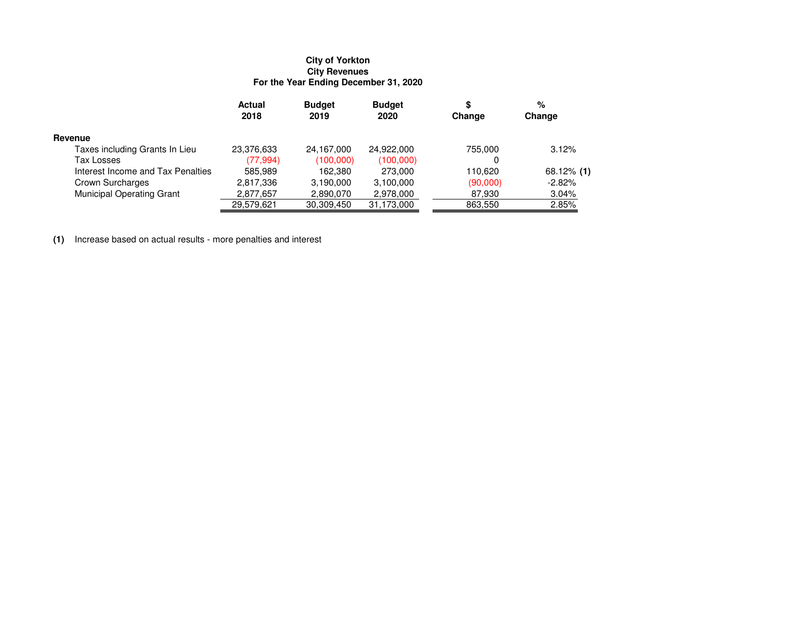# **City of Yorkton City Revenues For the Year Ending December 31, 2020**

|                                   | <b>Actual</b><br>2018 | <b>Budget</b><br>2019 | <b>Budget</b><br>2020 | æ<br>Change | %<br>Change   |
|-----------------------------------|-----------------------|-----------------------|-----------------------|-------------|---------------|
| Revenue                           |                       |                       |                       |             |               |
| Taxes including Grants In Lieu    | 23,376,633            | 24,167,000            | 24,922,000            | 755,000     | 3.12%         |
| Tax Losses                        | (77,994)              | (100,000)             | (100,000)             |             |               |
| Interest Income and Tax Penalties | 585.989               | 162,380               | 273,000               | 110.620     | $68.12\%$ (1) |
| Crown Surcharges                  | 2,817,336             | 3,190,000             | 3,100,000             | (90,000)    | $-2.82%$      |
| <b>Municipal Operating Grant</b>  | 2,877,657             | 2,890,070             | 2,978,000             | 87,930      | 3.04%         |
|                                   | 29,579,621            | 30,309,450            | 31,173,000            | 863,550     | 2.85%         |

**(1)** Increase based on actual results - more penalties and interest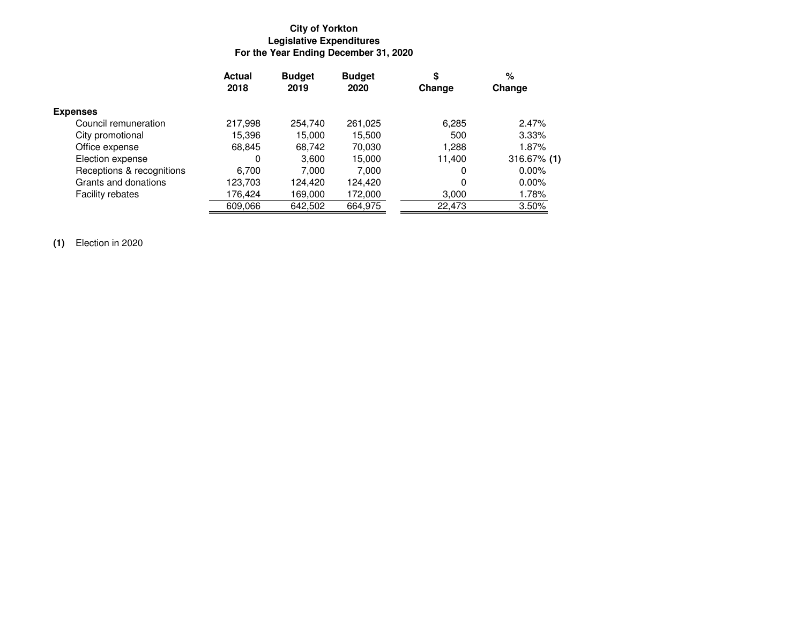# **City of YorktonLegislative Expenditures For the Year Ending December 31, 2020**

|                           | <b>Actual</b><br>2018 | <b>Budget</b><br>2019 | <b>Budget</b><br>2020 | \$<br>Change | %<br>Change    |
|---------------------------|-----------------------|-----------------------|-----------------------|--------------|----------------|
| <b>Expenses</b>           |                       |                       |                       |              |                |
| Council remuneration      | 217,998               | 254.740               | 261,025               | 6,285        | 2.47%          |
| City promotional          | 15,396                | 15.000                | 15,500                | 500          | 3.33%          |
| Office expense            | 68,845                | 68,742                | 70,030                | 1,288        | 1.87%          |
| Election expense          | 0                     | 3.600                 | 15.000                | 11.400       | $316.67\%$ (1) |
| Receptions & recognitions | 6.700                 | 7.000                 | 7.000                 | 0            | $0.00\%$       |
| Grants and donations      | 123,703               | 124.420               | 124,420               | 0            | $0.00\%$       |
| <b>Facility rebates</b>   | 176,424               | 169.000               | 172,000               | 3,000        | 1.78%          |
|                           | 609,066               | 642,502               | 664,975               | 22,473       | 3.50%          |

**(1)** Election in 2020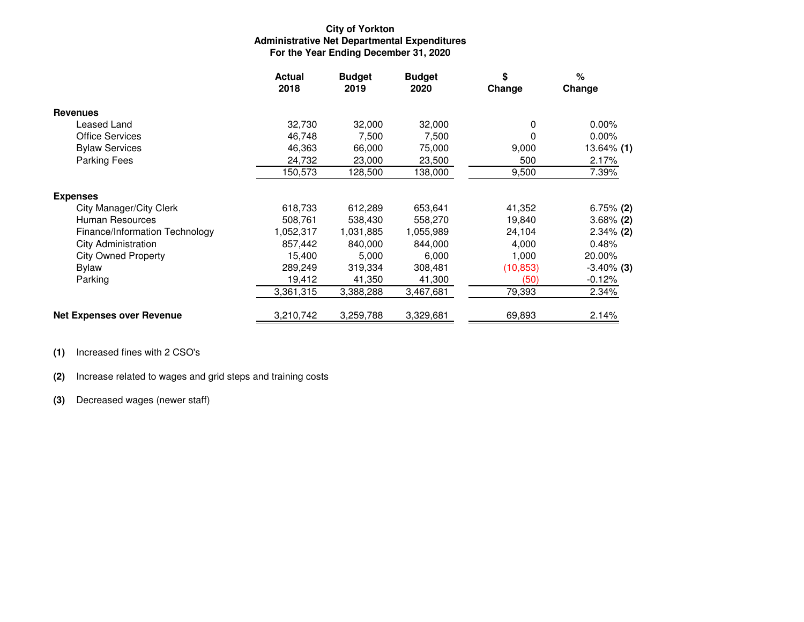### **City of Yorkton Administrative Net Departmental ExpendituresFor the Year Ending December 31, 2020**

|                                  | <b>Actual</b><br>2018 | <b>Budget</b><br>2019 | <b>Budget</b><br>2020 | \$<br>Change | %<br>Change       |
|----------------------------------|-----------------------|-----------------------|-----------------------|--------------|-------------------|
| <b>Revenues</b>                  |                       |                       |                       |              |                   |
| Leased Land                      | 32,730                | 32,000                | 32,000                | 0            | $0.00\%$          |
| <b>Office Services</b>           | 46,748                | 7,500                 | 7,500                 | 0            | $0.00\%$          |
| <b>Bylaw Services</b>            | 46,363                | 66,000                | 75,000                | 9,000        | 13.64% <b>(1)</b> |
| <b>Parking Fees</b>              | 24,732                | 23,000                | 23,500                | 500          | 2.17%             |
|                                  | 150,573               | 128,500               | 138,000               | 9,500        | 7.39%             |
| <b>Expenses</b>                  |                       |                       |                       |              |                   |
| <b>City Manager/City Clerk</b>   | 618,733               | 612,289               | 653,641               | 41,352       | $6.75\%$ (2)      |
| Human Resources                  | 508,761               | 538,430               | 558,270               | 19,840       | $3.68\%$ (2)      |
| Finance/Information Technology   | 1,052,317             | 1,031,885             | 1,055,989             | 24,104       | $2.34\%$ (2)      |
| <b>City Administration</b>       | 857,442               | 840,000               | 844,000               | 4,000        | 0.48%             |
| <b>City Owned Property</b>       | 15,400                | 5,000                 | 6,000                 | 1,000        | 20.00%            |
| <b>Bylaw</b>                     | 289,249               | 319,334               | 308,481               | (10, 853)    | $-3.40\%$ (3)     |
| Parking                          | 19,412                | 41,350                | 41,300                | (50)         | $-0.12%$          |
|                                  | 3,361,315             | 3,388,288             | 3,467,681             | 79,393       | 2.34%             |
| <b>Net Expenses over Revenue</b> | 3,210,742             | 3,259,788             | 3,329,681             | 69,893       | 2.14%             |

**(1)** Increased fines with 2 CSO's

**(2)** Increase related to wages and grid steps and training costs

**(3)** Decreased wages (newer staff)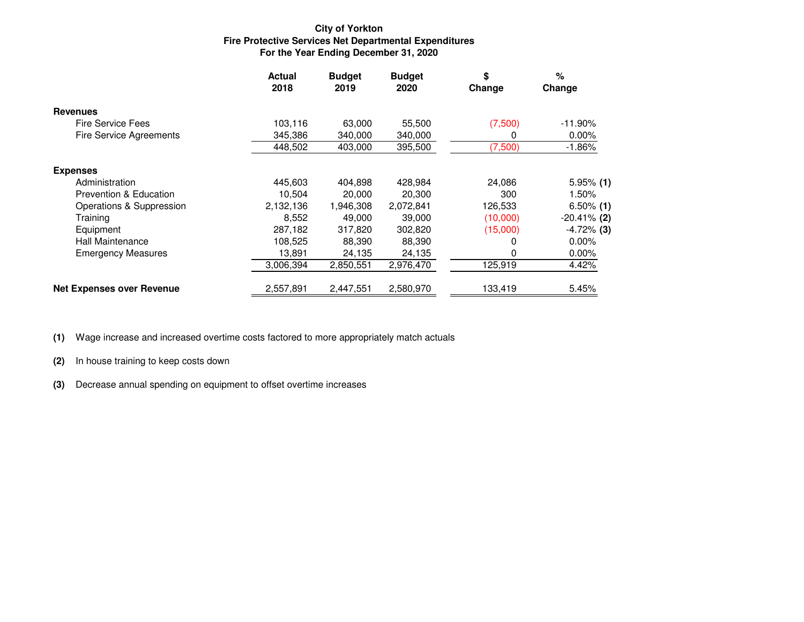## **City of YorktonFire Protective Services Net Departmental Expenditures For the Year Ending December 31, 2020**

|                                  | <b>Actual</b><br>2018 | <b>Budget</b><br>2019 | <b>Budget</b><br>2020 | \$<br>Change | $\%$<br>Change |
|----------------------------------|-----------------------|-----------------------|-----------------------|--------------|----------------|
| <b>Revenues</b>                  |                       |                       |                       |              |                |
| Fire Service Fees                | 103,116               | 63,000                | 55.500                | (7,500)      | $-11.90\%$     |
| <b>Fire Service Agreements</b>   | 345,386               | 340,000               | 340,000               |              | 0.00%          |
|                                  | 448,502               | 403,000               | 395,500               | (7,500)      | $-1.86%$       |
| <b>Expenses</b>                  |                       |                       |                       |              |                |
| Administration                   | 445,603               | 404.898               | 428.984               | 24,086       | $5.95\%$ (1)   |
| Prevention & Education           | 10,504                | 20,000                | 20,300                | 300          | 1.50%          |
| Operations & Suppression         | 2,132,136             | 1,946,308             | 2,072,841             | 126,533      | $6.50\%$ (1)   |
| Training                         | 8,552                 | 49.000                | 39,000                | (10,000)     | $-20.41\%$ (2) |
| Equipment                        | 287,182               | 317,820               | 302,820               | (15,000)     | $-4.72\%$ (3)  |
| Hall Maintenance                 | 108,525               | 88.390                | 88,390                |              | $0.00\%$       |
| <b>Emergency Measures</b>        | 13,891                | 24,135                | 24,135                | 0            | $0.00\%$       |
|                                  | 3,006,394             | 2,850,551             | 2,976,470             | 125,919      | 4.42%          |
| <b>Net Expenses over Revenue</b> | 2,557,891             | 2,447,551             | 2,580,970             | 133,419      | 5.45%          |

**(1)** Wage increase and increased overtime costs factored to more appropriately match actuals

**(2)** In house training to keep costs down

**(3)** Decrease annual spending on equipment to offset overtime increases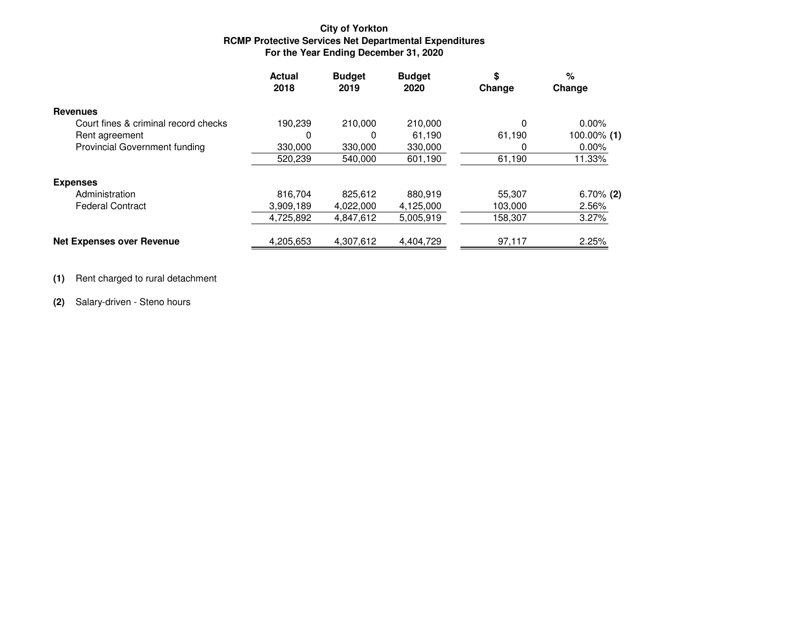## **City of YorktonRCMP Protective Services Net Departmental Expenditures For the Year Ending December 31, 2020**

|                                      | <b>Actual</b><br>2018 | <b>Budget</b><br>2019 | <b>Budget</b><br>2020 | \$<br>Change | %<br>Change  |
|--------------------------------------|-----------------------|-----------------------|-----------------------|--------------|--------------|
| <b>Revenues</b>                      |                       |                       |                       |              |              |
| Court fines & criminal record checks | 190,239               | 210,000               | 210,000               | 0            | $0.00\%$     |
| Rent agreement                       | 0                     | 0                     | 61,190                | 61,190       | 100.00% (1)  |
| <b>Provincial Government funding</b> | 330,000               | 330,000               | 330,000               | Ω            | $0.00\%$     |
|                                      | 520.239               | 540.000               | 601,190               | 61,190       | 11.33%       |
| <b>Expenses</b>                      |                       |                       |                       |              |              |
| Administration                       | 816.704               | 825.612               | 880.919               | 55,307       | $6.70\%$ (2) |
| <b>Federal Contract</b>              | 3,909,189             | 4,022,000             | 4,125,000             | 103,000      | 2.56%        |
|                                      | 4,725,892             | 4,847,612             | 5,005,919             | 158,307      | 3.27%        |
| <b>Net Expenses over Revenue</b>     | 4,205,653             | 4,307,612             | 4,404,729             | 97,117       | 2.25%        |

**(1)** Rent charged to rural detachment

**(2)** Salary-driven - Steno hours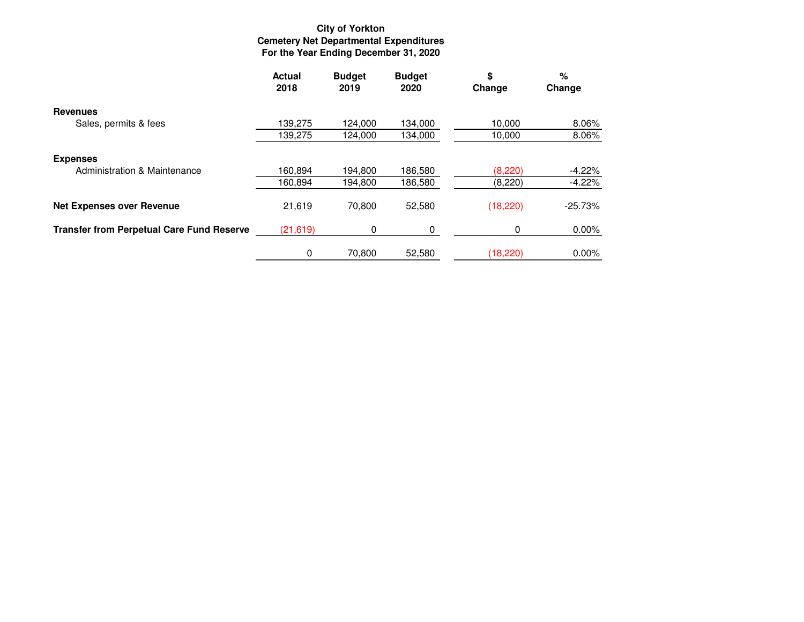# **City of Yorkton Cemetery Net Departmental Expenditures For the Year Ending December 31, 2020**

|                                                  | <b>Actual</b><br>2018 | <b>Budget</b><br>2019 | <b>Budget</b><br>2020 | \$<br>Change | %<br>Change |
|--------------------------------------------------|-----------------------|-----------------------|-----------------------|--------------|-------------|
| <b>Revenues</b>                                  |                       |                       |                       |              |             |
| Sales, permits & fees                            | 139,275               | 124,000               | 134,000               | 10,000       | 8.06%       |
|                                                  | 139,275               | 124,000               | 134,000               | 10,000       | 8.06%       |
| <b>Expenses</b>                                  |                       |                       |                       |              |             |
| Administration & Maintenance                     | 160,894               | 194,800               | 186,580               | (8,220)      | $-4.22%$    |
|                                                  | 160,894               | 194,800               | 186,580               | (8, 220)     | $-4.22%$    |
| <b>Net Expenses over Revenue</b>                 | 21,619                | 70,800                | 52,580                | (18, 220)    | $-25.73%$   |
| <b>Transfer from Perpetual Care Fund Reserve</b> | (21, 619)             | $\Omega$              | 0                     | 0            | $0.00\%$    |
|                                                  | 0                     | 70.800                | 52,580                | (18, 220)    | $0.00\%$    |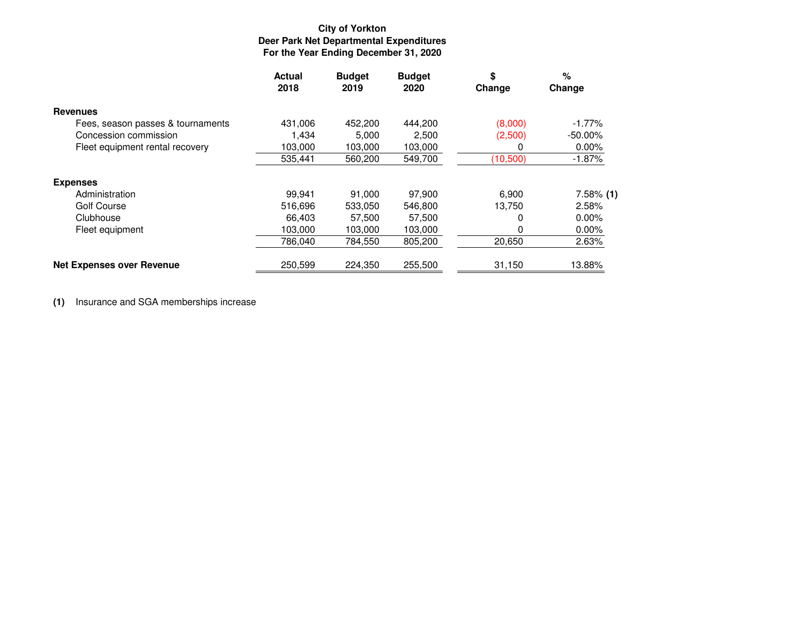# **City of YorktonDeer Park Net Departmental Expenditures For the Year Ending December 31, 2020**

|                                   | <b>Actual</b><br>2018 | <b>Budget</b><br>2019 | <b>Budget</b><br>2020 | \$<br>Change | %<br>Change  |
|-----------------------------------|-----------------------|-----------------------|-----------------------|--------------|--------------|
| <b>Revenues</b>                   |                       |                       |                       |              |              |
| Fees, season passes & tournaments | 431,006               | 452,200               | 444,200               | (8,000)      | $-1.77\%$    |
| Concession commission             | 1,434                 | 5,000                 | 2,500                 | (2,500)      | $-50.00\%$   |
| Fleet equipment rental recovery   | 103,000               | 103,000               | 103,000               | 0            | 0.00%        |
|                                   | 535,441               | 560,200               | 549,700               | (10,500)     | $-1.87%$     |
| <b>Expenses</b>                   |                       |                       |                       |              |              |
| Administration                    | 99.941                | 91.000                | 97.900                | 6,900        | $7.58\%$ (1) |
| Golf Course                       | 516,696               | 533,050               | 546,800               | 13,750       | 2.58%        |
| Clubhouse                         | 66.403                | 57,500                | 57,500                | 0            | $0.00\%$     |
| Fleet equipment                   | 103,000               | 103,000               | 103,000               | 0            | $0.00\%$     |
|                                   | 786.040               | 784,550               | 805,200               | 20,650       | 2.63%        |
| <b>Net Expenses over Revenue</b>  | 250,599               | 224,350               | 255,500               | 31,150       | 13.88%       |

**(1)** Insurance and SGA memberships increase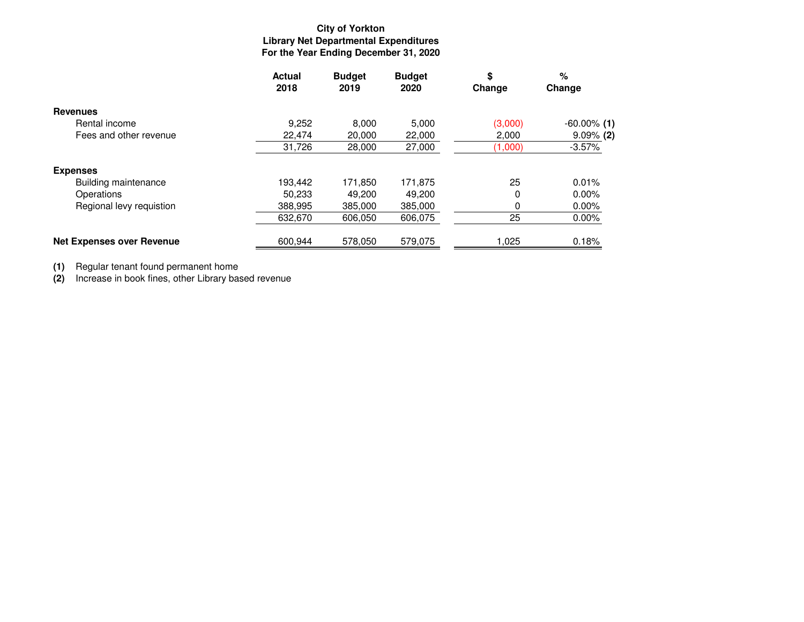# **City of YorktonLibrary Net Departmental Expenditures For the Year Ending December 31, 2020**

|                                  | <b>Actual</b><br>2018 | <b>Budget</b><br>2019 | <b>Budget</b><br>2020 | \$<br>Change | %<br>Change    |
|----------------------------------|-----------------------|-----------------------|-----------------------|--------------|----------------|
| <b>Revenues</b>                  |                       |                       |                       |              |                |
| Rental income                    | 9,252                 | 8,000                 | 5,000                 | (3,000)      | $-60.00\%$ (1) |
| Fees and other revenue           | 22.474                | 20,000                | 22,000                | 2.000        | $9.09\%$ (2)   |
|                                  | 31,726                | 28,000                | 27,000                | (1,000)      | $-3.57%$       |
| <b>Expenses</b>                  |                       |                       |                       |              |                |
| Building maintenance             | 193.442               | 171.850               | 171,875               | 25           | 0.01%          |
| Operations                       | 50,233                | 49,200                | 49,200                | $\Omega$     | $0.00\%$       |
| Regional levy requistion         | 388,995               | 385,000               | 385,000               | 0            | $0.00\%$       |
|                                  | 632,670               | 606,050               | 606,075               | 25           | 0.00%          |
| <b>Net Expenses over Revenue</b> | 600,944               | 578,050               | 579,075               | 1,025        | 0.18%          |

**(1)** Regular tenant found permanent home

**(2)** Increase in book fines, other Library based revenue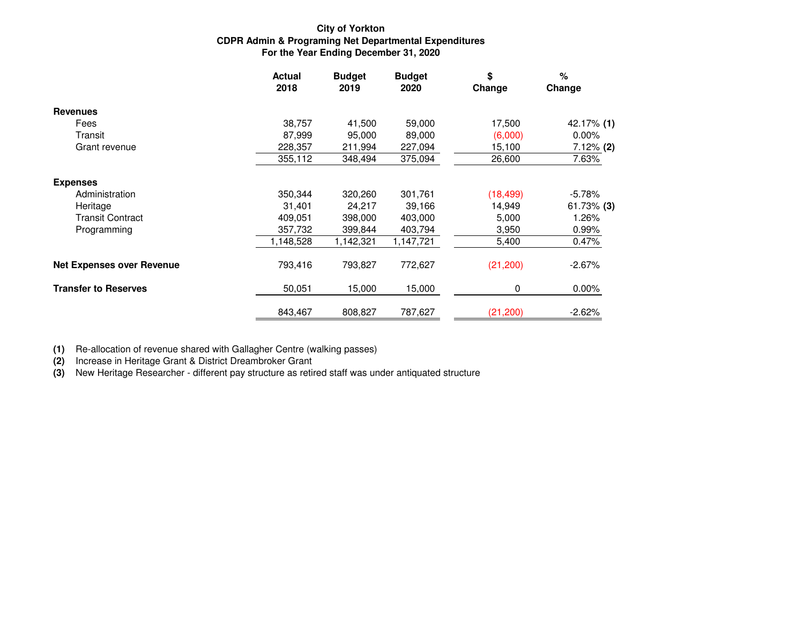## **City of YorktonCDPR Admin & Programing Net Departmental Expenditures For the Year Ending December 31, 2020**

|                                  | <b>Actual</b><br>2018 | <b>Budget</b><br>2019 | <b>Budget</b><br>2020 | \$<br>Change | $\%$<br>Change |
|----------------------------------|-----------------------|-----------------------|-----------------------|--------------|----------------|
| <b>Revenues</b>                  |                       |                       |                       |              |                |
| Fees                             | 38,757                | 41,500                | 59,000                | 17,500       | 42.17% (1)     |
| Transit                          | 87,999                | 95,000                | 89,000                | (6,000)      | 0.00%          |
| Grant revenue                    | 228,357               | 211,994               | 227,094               | 15,100       | $7.12\%$ (2)   |
|                                  | 355,112               | 348,494               | 375,094               | 26,600       | 7.63%          |
| <b>Expenses</b>                  |                       |                       |                       |              |                |
| Administration                   | 350,344               | 320,260               | 301,761               | (18, 499)    | $-5.78%$       |
| Heritage                         | 31,401                | 24,217                | 39,166                | 14,949       | $61.73\%$ (3)  |
| Transit Contract                 | 409,051               | 398,000               | 403,000               | 5,000        | 1.26%          |
| Programming                      | 357,732               | 399,844               | 403,794               | 3,950        | 0.99%          |
|                                  | 1,148,528             | 1,142,321             | 1,147,721             | 5,400        | 0.47%          |
| <b>Net Expenses over Revenue</b> | 793,416               | 793,827               | 772,627               | (21, 200)    | $-2.67%$       |
| <b>Transfer to Reserves</b>      | 50,051                | 15,000                | 15,000                | 0            | $0.00\%$       |
|                                  | 843,467               | 808,827               | 787,627               | (21, 200)    | $-2.62%$       |

**(1)** Re-allocation of revenue shared with Gallagher Centre (walking passes)

**(2)** Increase in Heritage Grant & District Dreambroker Grant

**(3)** New Heritage Researcher - different pay structure as retired staff was under antiquated structure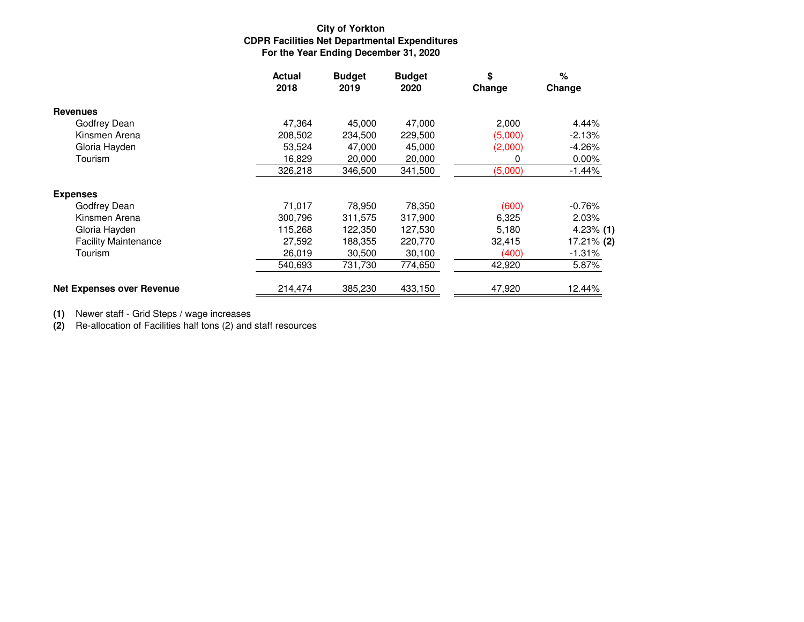## **City of YorktonCDPR Facilities Net Departmental Expenditures For the Year Ending December 31, 2020**

|                                  | <b>Actual</b><br>2018 | <b>Budget</b><br>2019 | <b>Budget</b><br>2020 | \$<br>Change | %<br>Change  |
|----------------------------------|-----------------------|-----------------------|-----------------------|--------------|--------------|
| <b>Revenues</b>                  |                       |                       |                       |              |              |
| Godfrey Dean                     | 47,364                | 45,000                | 47,000                | 2,000        | 4.44%        |
| Kinsmen Arena                    | 208,502               | 234,500               | 229,500               | (5,000)      | $-2.13%$     |
| Gloria Hayden                    | 53,524                | 47,000                | 45,000                | (2,000)      | $-4.26%$     |
| Tourism                          | 16,829                | 20,000                | 20,000                | 0            | 0.00%        |
|                                  | 326,218               | 346,500               | 341,500               | (5,000)      | $-1.44%$     |
| <b>Expenses</b>                  |                       |                       |                       |              |              |
| Godfrey Dean                     | 71,017                | 78,950                | 78,350                | (600)        | $-0.76%$     |
| Kinsmen Arena                    | 300,796               | 311,575               | 317,900               | 6,325        | 2.03%        |
| Gloria Hayden                    | 115,268               | 122,350               | 127,530               | 5,180        | $4.23\%$ (1) |
| <b>Facility Maintenance</b>      | 27,592                | 188,355               | 220,770               | 32,415       | 17.21% (2)   |
| Tourism                          | 26,019                | 30,500                | 30,100                | (400)        | $-1.31\%$    |
|                                  | 540,693               | 731,730               | 774,650               | 42,920       | 5.87%        |
| <b>Net Expenses over Revenue</b> | 214,474               | 385,230               | 433,150               | 47,920       | 12.44%       |

**(1)** Newer staff - Grid Steps / wage increases

**(2)** Re-allocation of Facilities half tons (2) and staff resources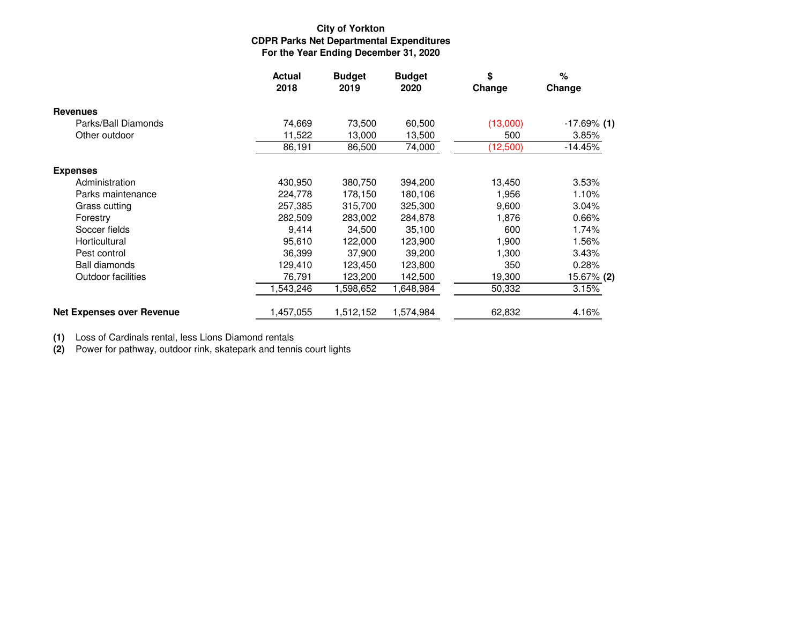### **City of Yorkton CDPR Parks Net Departmental ExpendituresFor the Year Ending December 31, 2020**

|                                  | <b>Actual</b><br>2018 | <b>Budget</b><br>2019 | <b>Budget</b><br>2020 | \$<br>Change | %<br>Change    |
|----------------------------------|-----------------------|-----------------------|-----------------------|--------------|----------------|
| <b>Revenues</b>                  |                       |                       |                       |              |                |
| Parks/Ball Diamonds              | 74,669                | 73,500                | 60,500                | (13,000)     | $-17.69\%$ (1) |
| Other outdoor                    | 11,522                | 13.000                | 13,500                | 500          | 3.85%          |
|                                  | 86,191                | 86,500                | 74,000                | (12,500)     | $-14.45%$      |
| <b>Expenses</b>                  |                       |                       |                       |              |                |
| Administration                   | 430,950               | 380,750               | 394,200               | 13,450       | 3.53%          |
| Parks maintenance                | 224,778               | 178,150               | 180,106               | 1,956        | 1.10%          |
| Grass cutting                    | 257,385               | 315,700               | 325,300               | 9,600        | 3.04%          |
| Forestry                         | 282,509               | 283,002               | 284,878               | 1,876        | 0.66%          |
| Soccer fields                    | 9,414                 | 34,500                | 35,100                | 600          | 1.74%          |
| Horticultural                    | 95,610                | 122,000               | 123,900               | 1,900        | 1.56%          |
| Pest control                     | 36,399                | 37,900                | 39,200                | 1,300        | 3.43%          |
| <b>Ball diamonds</b>             | 129,410               | 123,450               | 123,800               | 350          | 0.28%          |
| Outdoor facilities               | 76,791                | 123,200               | 142,500               | 19,300       | 15.67% (2)     |
|                                  | ,543,246              | 1,598,652             | 1,648,984             | 50,332       | 3.15%          |
| <b>Net Expenses over Revenue</b> | ,457,055              | 1,512,152             | 1,574,984             | 62,832       | 4.16%          |

**(1)** Loss of Cardinals rental, less Lions Diamond rentals

**(2)** Power for pathway, outdoor rink, skatepark and tennis court lights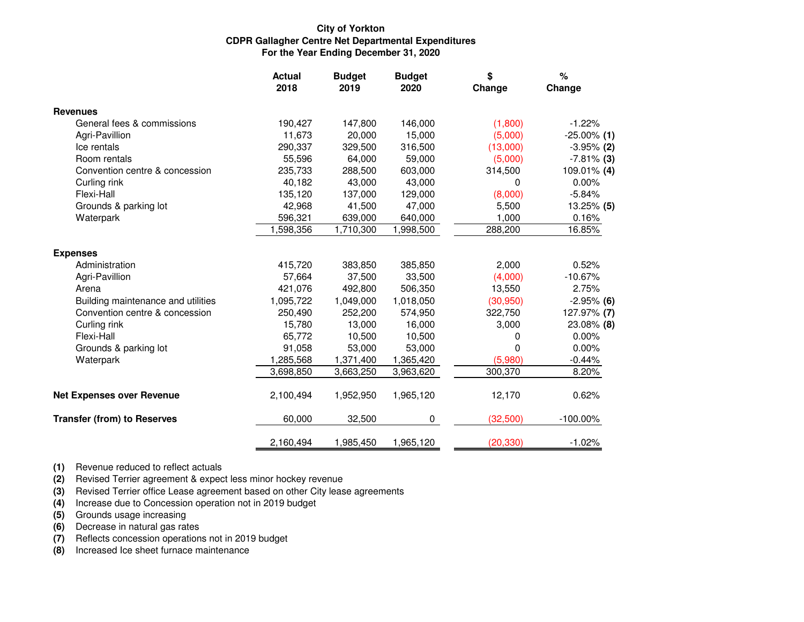#### **City of Yorkton CDPR Gallagher Centre Net Departmental ExpendituresFor the Year Ending December 31, 2020**

|                                    | <b>Actual</b><br>2018 | <b>Budget</b><br>2019 | <b>Budget</b><br>2020 | \$<br>Change | %<br>Change    |
|------------------------------------|-----------------------|-----------------------|-----------------------|--------------|----------------|
| <b>Revenues</b>                    |                       |                       |                       |              |                |
| General fees & commissions         | 190,427               | 147,800               | 146,000               | (1,800)      | $-1.22%$       |
| Agri-Pavillion                     | 11,673                | 20,000                | 15,000                | (5,000)      | $-25.00\%$ (1) |
| Ice rentals                        | 290,337               | 329,500               | 316,500               | (13,000)     | $-3.95%$ (2)   |
| Room rentals                       | 55,596                | 64,000                | 59,000                | (5,000)      | $-7.81\%$ (3)  |
| Convention centre & concession     | 235,733               | 288,500               | 603,000               | 314,500      | 109.01% (4)    |
| Curling rink                       | 40,182                | 43,000                | 43,000                | 0            | $0.00\%$       |
| Flexi-Hall                         | 135,120               | 137,000               | 129,000               | (8,000)      | $-5.84%$       |
| Grounds & parking lot              | 42,968                | 41,500                | 47,000                | 5,500        | $13.25\%$ (5)  |
| Waterpark                          | 596,321               | 639,000               | 640,000               | 1,000        | 0.16%          |
|                                    | 1,598,356             | 1,710,300             | 1,998,500             | 288,200      | 16.85%         |
| <b>Expenses</b>                    |                       |                       |                       |              |                |
| Administration                     | 415,720               | 383,850               | 385,850               | 2,000        | 0.52%          |
| Agri-Pavillion                     | 57,664                | 37,500                | 33,500                | (4,000)      | $-10.67%$      |
| Arena                              | 421,076               | 492,800               | 506,350               | 13,550       | 2.75%          |
| Building maintenance and utilities | 1,095,722             | 1,049,000             | 1,018,050             | (30, 950)    | $-2.95%$ (6)   |
| Convention centre & concession     | 250,490               | 252,200               | 574,950               | 322,750      | 127.97% (7)    |
| Curling rink                       | 15,780                | 13,000                | 16,000                | 3,000        | 23.08% (8)     |
| Flexi-Hall                         | 65,772                | 10,500                | 10,500                | 0            | 0.00%          |
| Grounds & parking lot              | 91,058                | 53,000                | 53,000                | 0            | 0.00%          |
| Waterpark                          | 1,285,568             | 1,371,400             | 1,365,420             | (5,980)      | $-0.44%$       |
|                                    | 3,698,850             | 3,663,250             | 3,963,620             | 300,370      | 8.20%          |
| <b>Net Expenses over Revenue</b>   | 2,100,494             | 1,952,950             | 1,965,120             | 12,170       | 0.62%          |
| <b>Transfer (from) to Reserves</b> | 60,000                | 32,500                | 0                     | (32,500)     | $-100.00\%$    |
|                                    | 2,160,494             | 1,985,450             | 1,965,120             | (20, 330)    | $-1.02%$       |

**(1)** Revenue reduced to reflect actuals

**(2)** Revised Terrier agreement & expect less minor hockey revenue

**(3)** Revised Terrier office Lease agreement based on other City lease agreements

**(4)** Increase due to Concession operation not in 2019 budget

**(5)** Grounds usage increasing

**(6)** Decrease in natural gas rates

**(7)** Reflects concession operations not in 2019 budget

**(8)** Increased Ice sheet furnace maintenance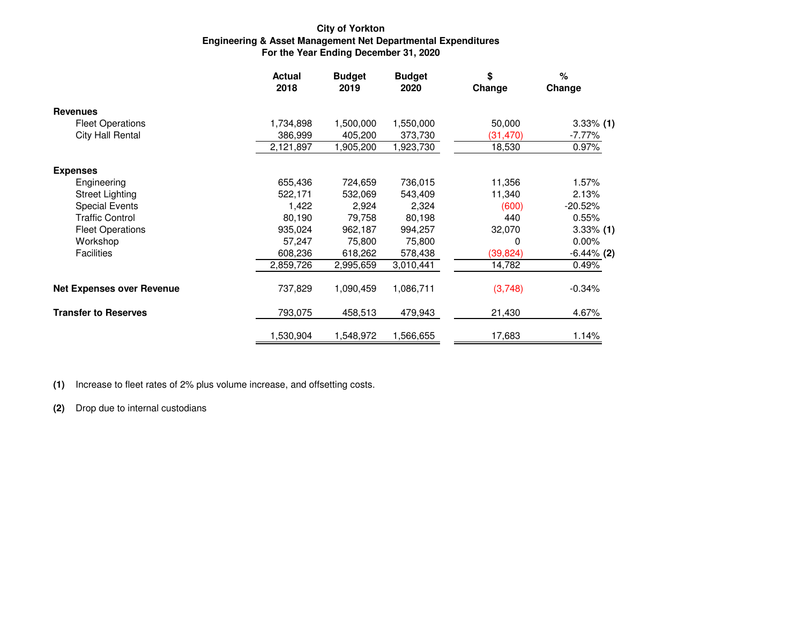### **For the Year Ending December 31, 2020Engineering & Asset Management Net Departmental Expenditures City of Yorkton**

|                                  | <b>Actual</b><br>2018 | <b>Budget</b><br><b>Budget</b><br>2019<br>2020 |           | \$<br>Change | %<br>Change   |  |
|----------------------------------|-----------------------|------------------------------------------------|-----------|--------------|---------------|--|
| <b>Revenues</b>                  |                       |                                                |           |              |               |  |
| <b>Fleet Operations</b>          | 1,734,898             | 1,500,000                                      | 1,550,000 | 50,000       | $3.33\%$ (1)  |  |
| City Hall Rental                 | 386,999               | 405,200                                        | 373,730   | (31, 470)    | $-7.77%$      |  |
|                                  | 2,121,897             | 1,905,200                                      | 1,923,730 | 18,530       | 0.97%         |  |
| <b>Expenses</b>                  |                       |                                                |           |              |               |  |
| Engineering                      | 655,436               | 724,659                                        | 736,015   | 11,356       | 1.57%         |  |
| <b>Street Lighting</b>           | 522,171               | 532,069                                        | 543,409   | 11,340       | 2.13%         |  |
| <b>Special Events</b>            | 1,422                 | 2,924                                          | 2,324     | (600)        | $-20.52%$     |  |
| <b>Traffic Control</b>           | 80,190                | 79,758                                         | 80,198    | 440          | 0.55%         |  |
| <b>Fleet Operations</b>          | 935,024               | 962,187                                        | 994,257   | 32,070       | $3.33\%$ (1)  |  |
| Workshop                         | 57,247                | 75,800                                         | 75,800    | 0            | $0.00\%$      |  |
| <b>Facilities</b>                | 608,236               | 618,262                                        | 578,438   | (39,824)     | $-6.44\%$ (2) |  |
|                                  | 2,859,726             | 2,995,659                                      | 3,010,441 | 14,782       | 0.49%         |  |
| <b>Net Expenses over Revenue</b> | 737,829               | 1,090,459                                      | 1,086,711 | (3,748)      | $-0.34%$      |  |
| <b>Transfer to Reserves</b>      | 793,075               | 458,513                                        | 479,943   | 21,430       | 4.67%         |  |
|                                  | 1,530,904             | 1,548,972                                      | 1,566,655 | 17,683       | 1.14%         |  |

**(1)** Increase to fleet rates of 2% plus volume increase, and offsetting costs.

**(2)** Drop due to internal custodians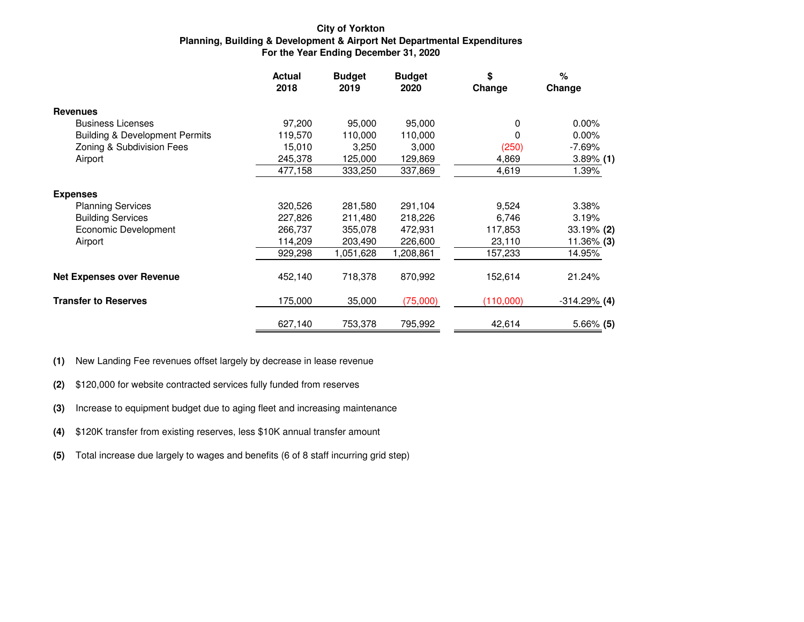#### **City of Yorkton Planning, Building & Development & Airport Net Departmental ExpendituresFor the Year Ending December 31, 2020**

|                                           | <b>Actual</b><br>2018 | <b>Budget</b><br>2019 | <b>Budget</b><br>2020 | \$<br>Change | %<br>Change    |
|-------------------------------------------|-----------------------|-----------------------|-----------------------|--------------|----------------|
| <b>Revenues</b>                           |                       |                       |                       |              |                |
| <b>Business Licenses</b>                  | 97,200                | 95,000                | 95,000                | 0            | 0.00%          |
| <b>Building &amp; Development Permits</b> | 119,570               | 110,000               | 110,000               | 0            | 0.00%          |
| Zoning & Subdivision Fees                 | 15,010                | 3,250                 | 3,000                 | (250)        | $-7.69%$       |
| Airport                                   | 245,378               | 125,000               | 129,869               | 4,869        | $3.89\%$ (1)   |
|                                           | 477,158               | 333,250               | 337,869               | 4,619        | 1.39%          |
| <b>Expenses</b>                           |                       |                       |                       |              |                |
| <b>Planning Services</b>                  | 320,526               | 281,580               | 291,104               | 9,524        | 3.38%          |
| <b>Building Services</b>                  | 227,826               | 211,480               | 218,226               | 6,746        | 3.19%          |
| Economic Development                      | 266,737               | 355,078               | 472,931               | 117,853      | 33.19% (2)     |
| Airport                                   | 114,209               | 203,490               | 226,600               | 23,110       | 11.36% (3)     |
|                                           | 929,298               | 1,051,628             | 1,208,861             | 157,233      | 14.95%         |
| <b>Net Expenses over Revenue</b>          | 452,140               | 718,378               | 870,992               | 152,614      | 21.24%         |
| <b>Transfer to Reserves</b>               | 175,000               | 35,000                | (75,000)              | (110,000)    | $-314.29%$ (4) |
|                                           | 627,140               | 753,378               | 795,992               | 42,614       | $5.66\%$ (5)   |

**(1)**New Landing Fee revenues offset largely by decrease in lease revenue

- **(2)**\$120,000 for website contracted services fully funded from reserves
- **(3)**Increase to equipment budget due to aging fleet and increasing maintenance
- **(4)**\$120K transfer from existing reserves, less \$10K annual transfer amount
- **(5)**Total increase due largely to wages and benefits (6 of 8 staff incurring grid step)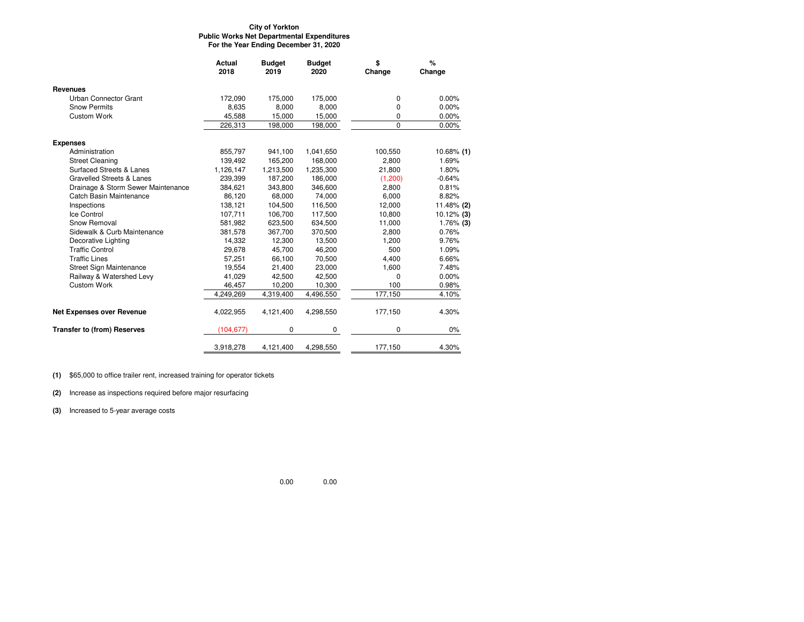#### **City of Yorkton Public Works Net Departmental ExpendituresFor the Year Ending December 31, 2020**

|                                    | Actual<br>2018 | <b>Budget</b><br>2019 | <b>Budget</b><br>2020 | \$<br>Change | %<br>Change   |
|------------------------------------|----------------|-----------------------|-----------------------|--------------|---------------|
| Revenues                           |                |                       |                       |              |               |
| Urban Connector Grant              | 172,090        | 175,000               | 175,000               | 0            | 0.00%         |
| <b>Snow Permits</b>                | 8,635          | 8,000                 | 8,000                 | 0            | 0.00%         |
| <b>Custom Work</b>                 | 45.588         | 15,000                | 15,000                | 0            | 0.00%         |
|                                    | 226,313        | 198,000               | 198,000               | $\Omega$     | 0.00%         |
| <b>Expenses</b>                    |                |                       |                       |              |               |
| Administration                     | 855,797        | 941,100               | 1,041,650             | 100,550      | $10.68\%$ (1) |
| <b>Street Cleaning</b>             | 139.492        | 165.200               | 168.000               | 2.800        | 1.69%         |
| Surfaced Streets & Lanes           | 1,126,147      | 1,213,500             | 1,235,300             | 21,800       | 1.80%         |
| Gravelled Streets & Lanes          | 239.399        | 187.200               | 186,000               | (1,200)      | $-0.64%$      |
| Drainage & Storm Sewer Maintenance | 384,621        | 343,800               | 346,600               | 2,800        | 0.81%         |
| Catch Basin Maintenance            | 86,120         | 68,000                | 74,000                | 6,000        | 8.82%         |
| Inspections                        | 138,121        | 104,500               | 116,500               | 12,000       | 11.48% $(2)$  |
| Ice Control                        | 107,711        | 106,700               | 117,500               | 10,800       | $10.12\%$ (3) |
| Snow Removal                       | 581,982        | 623,500               | 634,500               | 11,000       | $1.76\%$ (3)  |
| Sidewalk & Curb Maintenance        | 381,578        | 367,700               | 370,500               | 2,800        | 0.76%         |
| Decorative Lighting                | 14,332         | 12,300                | 13,500                | 1,200        | 9.76%         |
| <b>Traffic Control</b>             | 29,678         | 45,700                | 46,200                | 500          | 1.09%         |
| <b>Traffic Lines</b>               | 57,251         | 66,100                | 70,500                | 4,400        | 6.66%         |
| Street Sign Maintenance            | 19,554         | 21,400                | 23,000                | 1,600        | 7.48%         |
| Railway & Watershed Levy           | 41,029         | 42,500                | 42,500                | 0            | 0.00%         |
| <b>Custom Work</b>                 | 46.457         | 10,200                | 10,300                | 100          | 0.98%         |
|                                    | 4,249,269      | 4,319,400             | 4,496,550             | 177,150      | 4.10%         |
| <b>Net Expenses over Revenue</b>   | 4,022,955      | 4,121,400             | 4,298,550             | 177,150      | 4.30%         |
| <b>Transfer to (from) Reserves</b> | (104, 677)     | 0                     | 0                     | 0            | $0\%$         |
|                                    | 3,918,278      | 4,121,400             | 4,298,550             | 177,150      | 4.30%         |

**(1)** \$65,000 to office trailer rent, increased training for operator tickets

**(2)** Increase as inspections required before major resurfacing

**(3)** Increased to 5-year average costs

0.00 0.00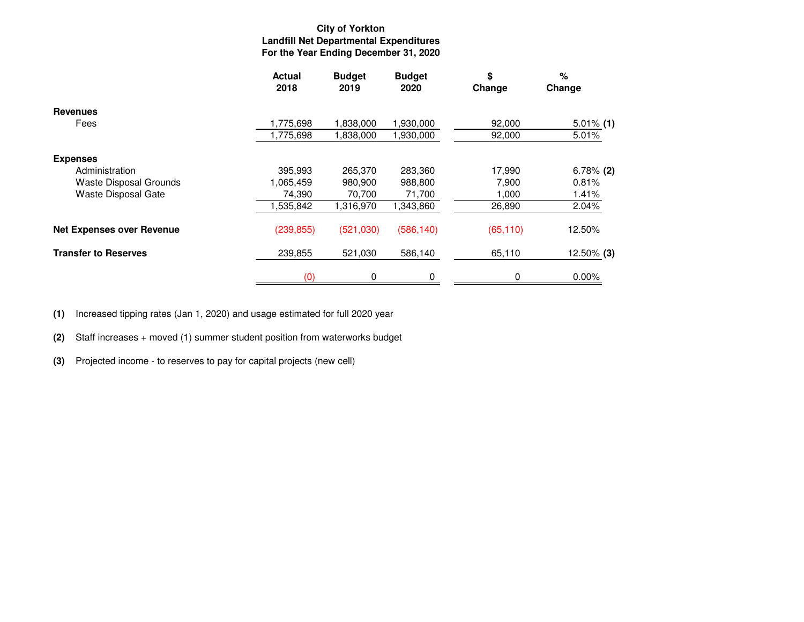### **City of Yorkton Landfill Net Departmental ExpendituresFor the Year Ending December 31, 2020**

|                                  | <b>Actual</b><br>2018 | <b>Budget</b><br><b>Budget</b><br>2020<br>2019 |            | \$<br>Change | %<br>Change  |  |
|----------------------------------|-----------------------|------------------------------------------------|------------|--------------|--------------|--|
| <b>Revenues</b>                  |                       |                                                |            |              |              |  |
| Fees                             | 1,775,698             | 1,838,000                                      | 1,930,000  | 92,000       | $5.01\%$ (1) |  |
|                                  | 1,775,698             | 1,838,000                                      | 1,930,000  | 92,000       | 5.01%        |  |
| <b>Expenses</b>                  |                       |                                                |            |              |              |  |
| Administration                   | 395,993               | 265,370                                        | 283,360    | 17,990       | $6.78\%$ (2) |  |
| Waste Disposal Grounds           | 1,065,459             | 980,900                                        | 988,800    | 7,900        | 0.81%        |  |
| Waste Disposal Gate              | 74,390                | 70,700                                         | 71,700     | 1,000        | 1.41%        |  |
|                                  | 1,535,842             | 1,316,970                                      | 1,343,860  | 26,890       | 2.04%        |  |
| <b>Net Expenses over Revenue</b> | (239, 855)            | (521,030)                                      | (586, 140) | (65, 110)    | 12.50%       |  |
| <b>Transfer to Reserves</b>      | 239,855               | 521,030                                        | 586,140    | 65,110       | 12.50% (3)   |  |
|                                  | (0)                   | 0                                              | 0          | 0            | 0.00%        |  |

**(1)**Increased tipping rates (Jan 1, 2020) and usage estimated for full 2020 year

**(2)**Staff increases + moved (1) summer student position from waterworks budget

**(3)** Projected income - to reserves to pay for capital projects (new cell)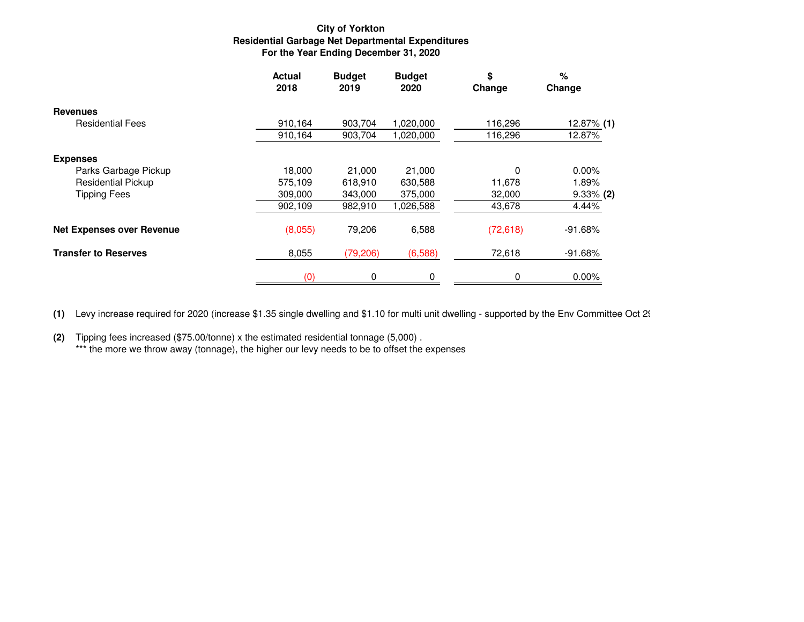### **City of Yorkton Residential Garbage Net Departmental ExpendituresFor the Year Ending December 31, 2020**

|                                  | <b>Actual</b><br>2018 | <b>Budget</b><br><b>Budget</b><br>2019<br>2020 |           | \$<br>Change | %<br>Change  |  |
|----------------------------------|-----------------------|------------------------------------------------|-----------|--------------|--------------|--|
| <b>Revenues</b>                  |                       |                                                |           |              |              |  |
| <b>Residential Fees</b>          | 910,164               | 903,704                                        | 1,020,000 | 116,296      | 12.87% (1)   |  |
|                                  | 910,164               | 903,704                                        | 1,020,000 | 116,296      | 12.87%       |  |
| <b>Expenses</b>                  |                       |                                                |           |              |              |  |
| Parks Garbage Pickup             | 18.000                | 21,000                                         | 21,000    | 0            | 0.00%        |  |
| <b>Residential Pickup</b>        | 575,109               | 618,910                                        | 630,588   | 11,678       | 1.89%        |  |
| <b>Tipping Fees</b>              | 309,000               | 343,000                                        | 375,000   | 32,000       | $9.33\%$ (2) |  |
|                                  | 902,109               | 982,910                                        | 1,026,588 | 43,678       | 4.44%        |  |
| <b>Net Expenses over Revenue</b> | (8,055)               | 79,206                                         | 6,588     | (72, 618)    | $-91.68%$    |  |
| <b>Transfer to Reserves</b>      | 8,055                 | (79, 206)                                      | (6,588)   | 72,618       | $-91.68%$    |  |
|                                  | (0)                   | 0                                              | 0         | 0            | $0.00\%$     |  |

**(1)** Levy increase required for 2020 (increase \$1.35 single dwelling and \$1.10 for multi unit dwelling - supported by the Env Committee Oct 29)

**(2)** Tipping fees increased (\$75.00/tonne) x the estimated residential tonnage (5,000) . \*\*\* the more we throw away (tonnage), the higher our levy needs to be to offset the expenses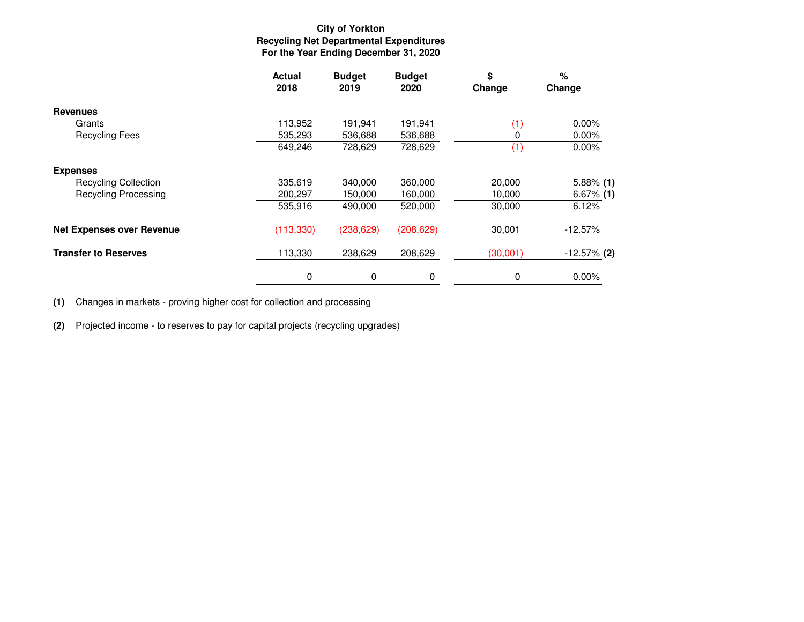## **City of YorktonRecycling Net Departmental Expenditures For the Year Ending December 31, 2020**

|                                  | <b>Actual</b><br>2018 | <b>Budget</b><br><b>Budget</b><br>2019<br>2020 |            | \$<br>Change | %<br>Change    |  |
|----------------------------------|-----------------------|------------------------------------------------|------------|--------------|----------------|--|
| <b>Revenues</b>                  |                       |                                                |            |              |                |  |
| Grants                           | 113,952               | 191.941                                        | 191.941    | (1)          | $0.00\%$       |  |
| <b>Recycling Fees</b>            | 535,293               | 536,688                                        | 536,688    | 0            | 0.00%          |  |
|                                  | 649,246               | 728,629                                        | 728,629    |              | $0.00\%$       |  |
| <b>Expenses</b>                  |                       |                                                |            |              |                |  |
| <b>Recycling Collection</b>      | 335,619               | 340,000                                        | 360,000    | 20,000       | $5.88\%$ (1)   |  |
| <b>Recycling Processing</b>      | 200,297               | 150,000                                        | 160,000    | 10,000       | $6.67%$ (1)    |  |
|                                  | 535,916               | 490,000                                        | 520,000    | 30,000       | 6.12%          |  |
| <b>Net Expenses over Revenue</b> | (113, 330)            | (238, 629)                                     | (208, 629) | 30,001       | $-12.57\%$     |  |
| <b>Transfer to Reserves</b>      | 113,330               | 238,629                                        | 208,629    | (30,001)     | $-12.57\%$ (2) |  |
|                                  | 0                     | 0                                              | 0          | 0            | 0.00%          |  |

**(1)** Changes in markets - proving higher cost for collection and processing

**(2)** Projected income - to reserves to pay for capital projects (recycling upgrades)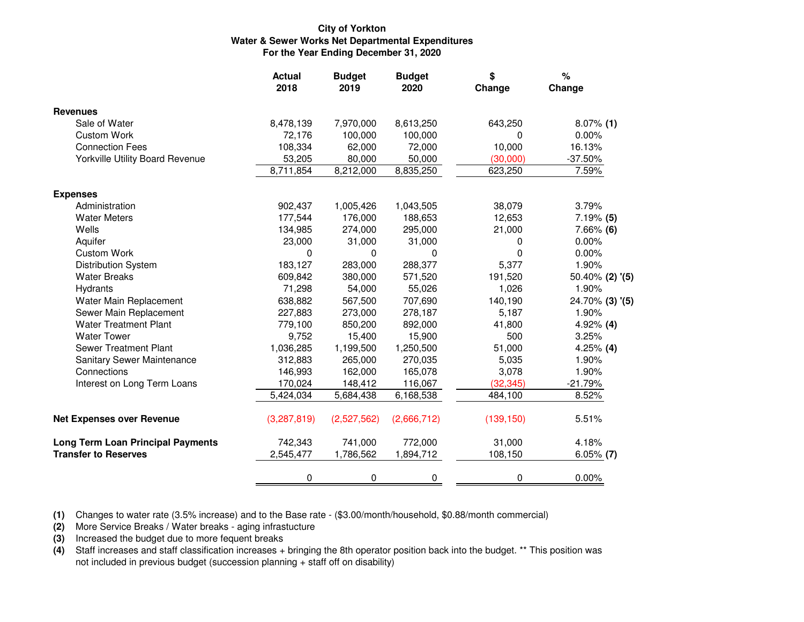#### **City of Yorkton Water & Sewer Works Net Departmental ExpendituresFor the Year Ending December 31, 2020**

|                                          | <b>Actual</b><br>2018 | <b>Budget</b><br>2019 | <b>Budget</b><br>2020 | \$<br>Change | $\%$<br>Change     |
|------------------------------------------|-----------------------|-----------------------|-----------------------|--------------|--------------------|
| <b>Revenues</b>                          |                       |                       |                       |              |                    |
| Sale of Water                            | 8,478,139             | 7,970,000             | 8,613,250             | 643,250      | $8.07\%$ (1)       |
| <b>Custom Work</b>                       | 72,176                | 100,000               | 100,000               | 0            | 0.00%              |
| <b>Connection Fees</b>                   | 108,334               | 62,000                | 72,000                | 10,000       | 16.13%             |
| <b>Yorkville Utility Board Revenue</b>   | 53,205                | 80,000                | 50,000                | (30,000)     | $-37.50%$          |
|                                          | 8,711,854             | 8,212,000             | 8,835,250             | 623,250      | 7.59%              |
| <b>Expenses</b>                          |                       |                       |                       |              |                    |
| Administration                           | 902,437               | 1,005,426             | 1,043,505             | 38,079       | 3.79%              |
| <b>Water Meters</b>                      | 177,544               | 176,000               | 188,653               | 12,653       | $7.19%$ (5)        |
| Wells                                    | 134,985               | 274,000               | 295,000               | 21,000       | $7.66\%$ (6)       |
| Aquifer                                  | 23,000                | 31,000                | 31,000                | 0            | 0.00%              |
| <b>Custom Work</b>                       | 0                     | 0                     | 0                     | 0            | 0.00%              |
| <b>Distribution System</b>               | 183,127               | 283,000               | 288,377               | 5,377        | 1.90%              |
| <b>Water Breaks</b>                      | 609,842               | 380,000               | 571,520               | 191,520      | $50.40\%$ (2) '(5) |
| Hydrants                                 | 71,298                | 54,000                | 55,026                | 1,026        | 1.90%              |
| Water Main Replacement                   | 638,882               | 567,500               | 707,690               | 140,190      | 24.70% (3) '(5)    |
| Sewer Main Replacement                   | 227,883               | 273,000               | 278,187               | 5,187        | 1.90%              |
| <b>Water Treatment Plant</b>             | 779,100               | 850,200               | 892,000               | 41,800       | $4.92\%$ (4)       |
| <b>Water Tower</b>                       | 9,752                 | 15,400                | 15,900                | 500          | 3.25%              |
| <b>Sewer Treatment Plant</b>             | 1,036,285             | 1,199,500             | 1,250,500             | 51,000       | $4.25\%$ (4)       |
| Sanitary Sewer Maintenance               | 312,883               | 265,000               | 270,035               | 5,035        | 1.90%              |
| Connections                              | 146,993               | 162,000               | 165,078               | 3,078        | 1.90%              |
| Interest on Long Term Loans              | 170,024               | 148,412               | 116,067               | (32, 345)    | $-21.79%$          |
|                                          | 5,424,034             | 5,684,438             | 6,168,538             | 484,100      | 8.52%              |
| <b>Net Expenses over Revenue</b>         | (3,287,819)           | (2,527,562)           | (2,666,712)           | (139, 150)   | 5.51%              |
| <b>Long Term Loan Principal Payments</b> | 742,343               | 741,000               | 772,000               | 31,000       | 4.18%              |
| <b>Transfer to Reserves</b>              | 2,545,477             | 1,786,562             | 1,894,712             | 108,150      | $6.05\%$ (7)       |
|                                          | 0                     | 0                     | 0                     | 0            | 0.00%              |

**(1)** Changes to water rate (3.5% increase) and to the Base rate - (\$3.00/month/household, \$0.88/month commercial)

**(2)** More Service Breaks / Water breaks - aging infrastucture

**(3)** Increased the budget due to more fequent breaks

 **(4)**Staff increases and staff classification increases + bringing the 8th operator position back into the budget. \*\* This position was not included in previous budget (succession planning + staff off on disability)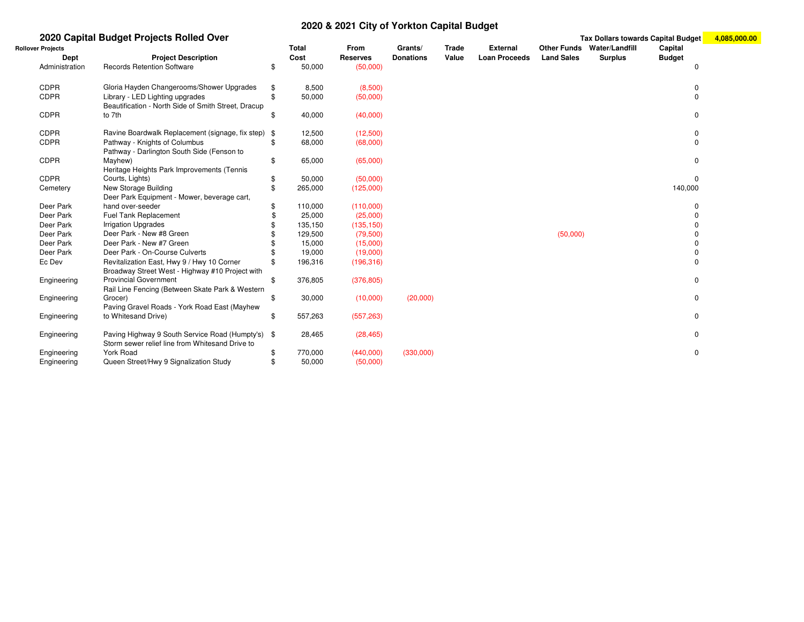#### **2020 & 2021 City of Yorkton Capital Budget**

#### **2020 Capital Budget Projects Rolled Over Tax Dollars towards Capital Budget 4,085,000.00Rollover Projects Total From Grants/ Trade External Other Funds Water/Landfill Capital DeptProject Description**<br>Records Retention Software **Cost Reserves Donations Value Loan Proceeds Land Sales Surplus Budget** Administration Records Retention Software \$ 50,000 (50,000) <sup>0</sup>CDPRGloria Hayden Changerooms/Shower Upgrades  $$ 8,500$  (8,500)<br>Cibrary - LED Lighting upgrades  $$ 50,000$  (50,000) 0 CDPR Library - LED Lighting upgrades \$ 50,000 (50,000) <sup>0</sup> CDPRBeautification - North Side of Smith Street, Dracupto 7thh \$ 40,000  $(40,000)$  0 CDPRRavine Boardwalk Replacement (signage, fix step)  $$$  12,500 (12,500) 0<br>Pathway - Knights of Columbus  $$$  68,000 (68,000) 0 CDPRR Pathway - Knights of Columbus \$ 68,000 (68,000) 0 CDPRPathway - Darlington South Side (Fenson to Mayhew) $\text{\$} \qquad \text{\$} \qquad \text{\$} \qquad \text{\$} \qquad \text{\$} \qquad \text{\$} \qquad \text{\$} \qquad \text{\$} \qquad \text{\$} \qquad \text{\$} \qquad \text{\$} \qquad \text{\$} \qquad \text{\$} \qquad \text{\$} \qquad \text{\$} \qquad \text{\$} \qquad \text{\$} \qquad \text{\$} \qquad \text{\$} \qquad \text{\$} \qquad \text{\$} \qquad \text{\$} \qquad \text{\$} \qquad \text{\$} \qquad \text{\$} \qquad \text{\$} \qquad \text{\$} \qquad \text{\$$  $(65,000)$  (85,000) CDPR CemeteryHeritage Heights Park Improvements (Tennis Courts, Lights) $\updownarrow$  50,000  $(50,000)$  (50,000) New Storage Building \$ 265,0000 (125,000) 140,000 (125,000) 150,000 (125,000 (125,000 ) 150,000 (125,000 ) 150,000 (125,000 ) 150,000 (135,000 ) 150,000 (135,000 ) 150,000 (135,000 ) (135,000 ) (136,000 ) (136,000 ) (136,000 ) (136,000 ) (136,000 ) (13 Deer Park Deer ParkDeer Park Equipment - Mower, beverage cart, hand over-seeder $$ 110,000$ <br> $$ 25,000$  $(110,000)$   $(110,000)$ Fuel Tank Replacement<br>
Irrigation Upgrades<br>
\$135,150  $(25,000)$  0 Deer Parklrrigation Upgrades \$<br>Deer Park - New #8 Green \$  $(135,150)$  0 Deer Park Deer Park - New #8 Green $$ 129,500$ <br> $$ 15,000$  (79,500) (50,000) <sup>0</sup> Deer Park Deer Park - New #7 Green $$ 15,000$ <br> $$ 19.000$  $(15,000)$  0  $\mathbf 0$ Deer ParkDeer Park - On-Course Culverts \$ 19,000<br>Revitalization East, Hwy 9 / Hwy 10 Corner \$ 196,316  $(19,000)$   $(9,000)$   $(19,000)$   $(19,000)$   $(19,000)$   $(19,000)$   $(19,000)$   $(19,000)$   $(19,000)$   $(19,000)$   $(19,000)$   $(19,000)$   $(19,000)$   $(19,000)$   $(19,000)$   $(19,000)$   $(19,000)$   $(19,000)$   $(19,000)$   $(19,000)$   $($ Ec Dev Revitalization East, Hwy 9 / Hwy 10 Corner  $\frac{1}{3}$  , 196,316 (196,316) 0 Engineering Broadway Street West - Highway #10 Project with Provincial Government \$ 376,8055 (376,805) 0 Engineering Rail Line Fencing (Between Skate Park & Western Grocer) \$ 30,000 $(10,000)$   $(20,000)$  0 EngineeringPaving Gravel Roads - York Road East (Mayhew to Whitesand Drive) \$ 557,263 $(557,263)$  0 EngineeringPaving Highway 9 South Service Road (Humpty's)  $\$  28,465 (28,465) 0 Engineering EngineeringStorm sewer relief line from Whitesand Drive to York Road \$ 770,0000 (440,000) (330,000) (330,000) g Cueen Street/Hwy 9 Signalization Study  $$50,000$  (50,000)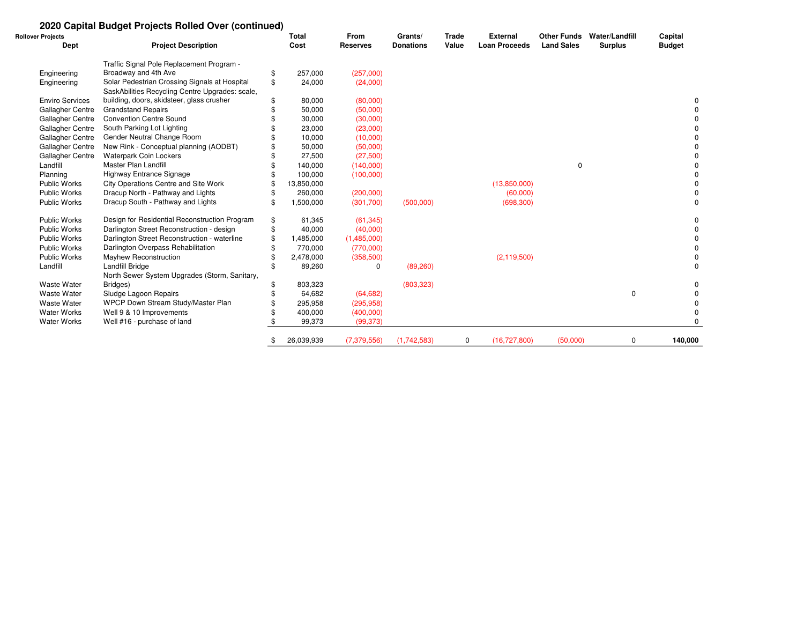### **2020 Capital Budget Projects Rolled Over (continued)**

| <b>Rollover Projects</b> |                                                 |    | <b>Total</b> | From            | Grants/          | <b>Trade</b> | <b>External</b>      | <b>Other Funds</b> | Water/Landfill | Capital       |
|--------------------------|-------------------------------------------------|----|--------------|-----------------|------------------|--------------|----------------------|--------------------|----------------|---------------|
| Dept                     | <b>Project Description</b>                      |    | Cost         | <b>Reserves</b> | <b>Donations</b> | Value        | <b>Loan Proceeds</b> | <b>Land Sales</b>  | <b>Surplus</b> | <b>Budget</b> |
|                          | Traffic Signal Pole Replacement Program -       |    |              |                 |                  |              |                      |                    |                |               |
| Engineering              | Broadway and 4th Ave                            | £. | 257,000      | (257,000)       |                  |              |                      |                    |                |               |
| Engineering              | Solar Pedestrian Crossing Signals at Hospital   | \$ | 24,000       | (24,000)        |                  |              |                      |                    |                |               |
|                          | SaskAbilities Recycling Centre Upgrades: scale, |    |              |                 |                  |              |                      |                    |                |               |
| <b>Enviro Services</b>   | building, doors, skidsteer, glass crusher       |    | 80,000       | (80,000)        |                  |              |                      |                    |                | 0             |
| Gallagher Centre         | <b>Grandstand Repairs</b>                       |    | 50,000       | (50,000)        |                  |              |                      |                    |                | <sup>0</sup>  |
| Gallagher Centre         | <b>Convention Centre Sound</b>                  |    | 30,000       | (30,000)        |                  |              |                      |                    |                | 0             |
| Gallagher Centre         | South Parking Lot Lighting                      |    | 23,000       | (23,000)        |                  |              |                      |                    |                | $\Omega$      |
| Gallagher Centre         | Gender Neutral Change Room                      |    | 10,000       | (10,000)        |                  |              |                      |                    |                | 0             |
| Gallagher Centre         | New Rink - Conceptual planning (AODBT)          |    | 50,000       | (50,000)        |                  |              |                      |                    |                | 0             |
| Gallagher Centre         | <b>Waterpark Coin Lockers</b>                   |    | 27,500       | (27,500)        |                  |              |                      |                    |                | 0             |
| Landfill                 | <b>Master Plan Landfill</b>                     |    | 140,000      | (140,000)       |                  |              |                      | 0                  |                | 0             |
| Planning                 | Highway Entrance Signage                        |    | 100,000      | (100,000)       |                  |              |                      |                    |                | 0             |
| Public Works             | City Operations Centre and Site Work            |    | 13,850,000   |                 |                  |              | (13,850,000)         |                    |                | 0             |
| <b>Public Works</b>      | Dracup North - Pathway and Lights               |    | 260,000      | (200,000)       |                  |              | (60,000)             |                    |                | 0             |
| <b>Public Works</b>      | Dracup South - Pathway and Lights               |    | 1,500,000    | (301,700)       | (500,000)        |              | (698, 300)           |                    |                | 0             |
| <b>Public Works</b>      | Design for Residential Reconstruction Program   | \$ | 61,345       | (61, 345)       |                  |              |                      |                    |                | 0             |
| <b>Public Works</b>      | Darlington Street Reconstruction - design       |    | 40,000       | (40,000)        |                  |              |                      |                    |                | 0             |
| <b>Public Works</b>      | Darlington Street Reconstruction - waterline    |    | 1,485,000    | (1,485,000)     |                  |              |                      |                    |                | 0             |
| <b>Public Works</b>      | Darlington Overpass Rehabilitation              |    | 770,000      | (770,000)       |                  |              |                      |                    |                | 0             |
| <b>Public Works</b>      | Mayhew Reconstruction                           |    | 2,478,000    | (358, 500)      |                  |              | (2, 119, 500)        |                    |                | $\Omega$      |
| Landfill                 | Landfill Bridge                                 |    | 89,260       | 0               | (89,260)         |              |                      |                    |                | 0             |
|                          | North Sewer System Upgrades (Storm, Sanitary,   |    |              |                 |                  |              |                      |                    |                |               |
| <b>Waste Water</b>       | Bridges)                                        |    | 803,323      |                 | (803, 323)       |              |                      |                    |                | 0             |
| <b>Waste Water</b>       | Sludge Lagoon Repairs                           |    | 64,682       | (64, 682)       |                  |              |                      |                    | $\mathbf 0$    | 0             |
| <b>Waste Water</b>       | WPCP Down Stream Study/Master Plan              |    | 295,958      | (295, 958)      |                  |              |                      |                    |                | 0             |
| <b>Water Works</b>       | Well 9 & 10 Improvements                        |    | 400,000      | (400,000)       |                  |              |                      |                    |                | $\Omega$      |
| <b>Water Works</b>       | Well #16 - purchase of land                     |    | 99,373       | (99, 373)       |                  |              |                      |                    |                |               |
|                          |                                                 |    | 26,039,939   | (7,379,556)     | (1,742,583)      | $\mathbf 0$  | (16, 727, 800)       | (50,000)           | 0              | 140,000       |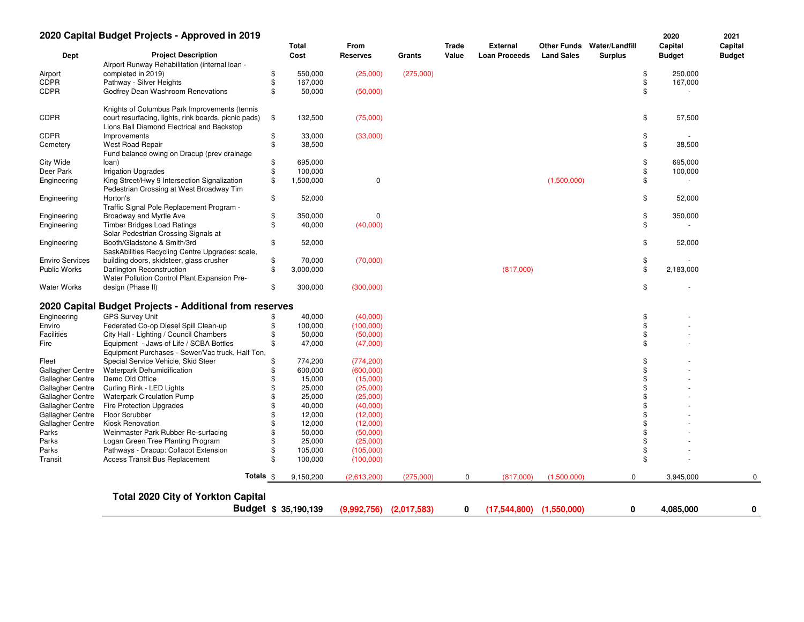|                        | 2020 Capital Budget Projects - Approved in 2019                                                    |            |                      |                 |             |       |                      |                              |                | 2020          | 2021          |
|------------------------|----------------------------------------------------------------------------------------------------|------------|----------------------|-----------------|-------------|-------|----------------------|------------------------------|----------------|---------------|---------------|
|                        |                                                                                                    |            | Total                | From            |             | Trade | <b>External</b>      | <b>Other Funds</b>           | Water/Landfill | Capital       | Capital       |
| Dept                   | <b>Project Description</b>                                                                         |            | Cost                 | <b>Reserves</b> | Grants      | Value | <b>Loan Proceeds</b> | <b>Land Sales</b>            | <b>Surplus</b> | <b>Budget</b> | <b>Budget</b> |
|                        | Airport Runway Rehabilitation (internal loan -                                                     |            |                      |                 |             |       |                      |                              |                |               |               |
| Airport                | completed in 2019)                                                                                 | \$         | 550,000              | (25,000)        | (275,000)   |       |                      |                              | \$             | 250,000       |               |
| CDPR                   | Pathway - Silver Heights                                                                           | \$         | 167,000              |                 |             |       |                      |                              | \$             | 167,000       |               |
| CDPR                   | Godfrey Dean Washroom Renovations                                                                  | \$         | 50,000               | (50,000)        |             |       |                      |                              | \$             |               |               |
|                        | Knights of Columbus Park Improvements (tennis                                                      |            |                      |                 |             |       |                      |                              |                |               |               |
| <b>CDPR</b>            | court resurfacing, lights, rink boards, picnic pads)<br>Lions Ball Diamond Electrical and Backstop | \$         | 132,500              | (75,000)        |             |       |                      |                              | \$             | 57,500        |               |
| <b>CDPR</b>            | Improvements                                                                                       | \$         | 33,000               | (33,000)        |             |       |                      |                              | \$             |               |               |
| Cemetery               | West Road Repair                                                                                   | \$         | 38,500               |                 |             |       |                      |                              | \$             | 38,500        |               |
|                        | Fund balance owing on Dracup (prev drainage                                                        |            |                      |                 |             |       |                      |                              |                |               |               |
| City Wide              | loan)                                                                                              | \$         | 695,000              |                 |             |       |                      |                              | \$             | 695,000       |               |
| Deer Park              | <b>Irrigation Upgrades</b>                                                                         | \$         | 100,000              |                 |             |       |                      |                              | \$             | 100,000       |               |
| Engineering            | King Street/Hwy 9 Intersection Signalization<br>Pedestrian Crossing at West Broadway Tim           | \$         | 1,500,000            | 0               |             |       |                      | (1,500,000)                  | \$             |               |               |
| Engineering            | Horton's                                                                                           | \$         | 52,000               |                 |             |       |                      |                              | \$             | 52,000        |               |
|                        | Traffic Signal Pole Replacement Program -                                                          |            |                      |                 |             |       |                      |                              |                |               |               |
| Engineering            | Broadway and Myrtle Ave                                                                            | \$         | 350,000              | $\Omega$        |             |       |                      |                              | \$             | 350,000       |               |
| Engineering            | <b>Timber Bridges Load Ratings</b>                                                                 | \$         | 40,000               | (40,000)        |             |       |                      |                              | \$             |               |               |
|                        | Solar Pedestrian Crossing Signals at                                                               |            |                      |                 |             |       |                      |                              |                |               |               |
| Engineering            | Booth/Gladstone & Smith/3rd                                                                        | \$         | 52,000               |                 |             |       |                      |                              | \$             | 52,000        |               |
|                        | SaskAbilities Recycling Centre Upgrades: scale,                                                    |            |                      |                 |             |       |                      |                              |                |               |               |
| <b>Enviro Services</b> | building doors, skidsteer, glass crusher                                                           | \$         | 70,000               | (70,000)        |             |       |                      |                              | \$             |               |               |
| <b>Public Works</b>    | Darlington Reconstruction                                                                          | \$         | 3,000,000            |                 |             |       | (817,000)            |                              | \$             | 2,183,000     |               |
|                        | Water Pollution Control Plant Expansion Pre-                                                       |            |                      |                 |             |       |                      |                              |                |               |               |
| Water Works            | design (Phase II)                                                                                  | \$         | 300,000              | (300,000)       |             |       |                      |                              | \$             |               |               |
|                        | 2020 Capital Budget Projects - Additional from reserves                                            |            |                      |                 |             |       |                      |                              |                |               |               |
|                        |                                                                                                    |            |                      |                 |             |       |                      |                              |                |               |               |
| Engineering            | <b>GPS Survey Unit</b>                                                                             |            | 40,000               | (40,000)        |             |       |                      |                              | \$             |               |               |
| Enviro                 | Federated Co-op Diesel Spill Clean-up                                                              | \$         | 100,000              | (100,000)       |             |       |                      |                              | \$             |               |               |
| <b>Facilities</b>      | City Hall - Lighting / Council Chambers                                                            | \$         | 50,000               | (50,000)        |             |       |                      |                              | \$             |               |               |
| Fire                   | Equipment - Jaws of Life / SCBA Bottles                                                            | \$         | 47,000               | (47,000)        |             |       |                      |                              | \$             |               |               |
|                        | Equipment Purchases - Sewer/Vac truck, Half Ton,                                                   |            |                      |                 |             |       |                      |                              |                |               |               |
| Fleet                  | Special Service Vehicle, Skid Steer                                                                | \$         | 774,200              | (774, 200)      |             |       |                      |                              | \$             |               |               |
| Gallagher Centre       | Waterpark Dehumidification                                                                         |            | 600,000              | (600,000)       |             |       |                      |                              | \$             |               |               |
| Gallagher Centre       | Demo Old Office                                                                                    |            | 15,000               | (15,000)        |             |       |                      |                              | \$             |               |               |
| Gallagher Centre       | Curling Rink - LED Lights                                                                          |            | 25,000               | (25,000)        |             |       |                      |                              | \$             |               |               |
| Gallagher Centre       | <b>Waterpark Circulation Pump</b>                                                                  |            | 25,000               | (25,000)        |             |       |                      |                              |                |               |               |
| Gallagher Centre       | <b>Fire Protection Upgrades</b>                                                                    |            | 40,000               | (40,000)        |             |       |                      |                              | \$             |               |               |
| Gallagher Centre       | <b>Floor Scrubber</b>                                                                              |            | 12,000               | (12,000)        |             |       |                      |                              |                |               |               |
| Gallagher Centre       | Kiosk Renovation                                                                                   |            | 12,000               | (12,000)        |             |       |                      |                              |                |               |               |
| Parks                  | Weinmaster Park Rubber Re-surfacing                                                                |            | 50,000               | (50,000)        |             |       |                      |                              |                |               |               |
| Parks                  | Logan Green Tree Planting Program                                                                  |            | 25,000               | (25,000)        |             |       |                      |                              | \$             |               |               |
| Parks                  | Pathways - Dracup: Collacot Extension                                                              |            | 105,000              | (105,000)       |             |       |                      |                              | \$             |               |               |
| Transit                | Access Transit Bus Replacement                                                                     | \$         | 100,000              | (100,000)       |             |       |                      |                              | \$             |               |               |
|                        |                                                                                                    | Totals $$$ | 9,150,200            | (2,613,200)     | (275,000)   | 0     | (817,000)            | (1,500,000)                  | 0              | 3,945,000     | 0             |
|                        | <b>Total 2020 City of Yorkton Capital</b>                                                          |            |                      |                 |             |       |                      |                              |                |               |               |
|                        |                                                                                                    |            | Budget \$ 35,190,139 | (9,992,756)     | (2,017,583) | 0     |                      | $(17,544,800)$ $(1,550,000)$ | 0              | 4,085,000     | 0             |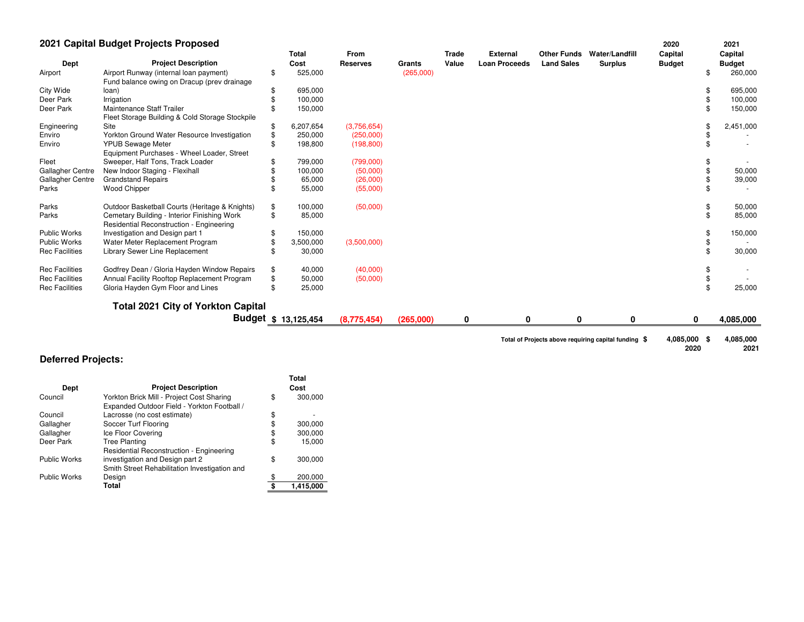### **2021 Capital Budget Projects Proposed**

|                       | 2021 Capital Budget Projects Proposed                                                   |    |                      |                         |           |                       |                                         |                                         |                                  | 2020                     |   | 2021                     |
|-----------------------|-----------------------------------------------------------------------------------------|----|----------------------|-------------------------|-----------|-----------------------|-----------------------------------------|-----------------------------------------|----------------------------------|--------------------------|---|--------------------------|
| Dept                  | <b>Project Description</b>                                                              |    | <b>Total</b><br>Cost | From<br><b>Reserves</b> | Grants    | <b>Trade</b><br>Value | <b>External</b><br><b>Loan Proceeds</b> | <b>Other Funds</b><br><b>Land Sales</b> | Water/Landfill<br><b>Surplus</b> | Capital<br><b>Budget</b> |   | Capital<br><b>Budget</b> |
| Airport               | Airport Runway (internal loan payment)<br>Fund balance owing on Dracup (prev drainage   | \$ | 525,000              |                         | (265,000) |                       |                                         |                                         |                                  |                          |   | 260,000                  |
| City Wide             | loan)                                                                                   | \$ | 695,000              |                         |           |                       |                                         |                                         |                                  |                          |   | 695,000                  |
| Deer Park             | Irrigation                                                                              |    | 100,000              |                         |           |                       |                                         |                                         |                                  |                          |   | 100,000                  |
| Deer Park             | Maintenance Staff Trailer<br>Fleet Storage Building & Cold Storage Stockpile            |    | 150,000              |                         |           |                       |                                         |                                         |                                  |                          |   | 150,000                  |
| Engineering           | Site                                                                                    | S  | 6,207,654            | (3,756,654)             |           |                       |                                         |                                         |                                  |                          |   | 2,451,000                |
| Enviro                | Yorkton Ground Water Resource Investigation                                             |    | 250,000              | (250,000)               |           |                       |                                         |                                         |                                  |                          |   |                          |
| Enviro                | <b>YPUB Sewage Meter</b><br>Equipment Purchases - Wheel Loader, Street                  | \$ | 198,800              | (198, 800)              |           |                       |                                         |                                         |                                  |                          |   |                          |
| Fleet                 | Sweeper, Half Tons, Track Loader                                                        |    | 799,000              | (799,000)               |           |                       |                                         |                                         |                                  |                          |   |                          |
| Gallagher Centre      | New Indoor Staging - Flexihall                                                          |    | 100,000              | (50,000)                |           |                       |                                         |                                         |                                  |                          |   | 50,000                   |
| Gallagher Centre      | <b>Grandstand Repairs</b>                                                               |    | 65,000               | (26,000)                |           |                       |                                         |                                         |                                  |                          |   | 39,000                   |
| Parks                 | <b>Wood Chipper</b>                                                                     |    | 55,000               | (55,000)                |           |                       |                                         |                                         |                                  |                          |   |                          |
| Parks                 | Outdoor Basketball Courts (Heritage & Knights)                                          | \$ | 100,000              | (50,000)                |           |                       |                                         |                                         |                                  |                          |   | 50,000                   |
| Parks                 | Cemetary Building - Interior Finishing Work<br>Residential Reconstruction - Engineering | \$ | 85,000               |                         |           |                       |                                         |                                         |                                  |                          |   | 85,000                   |
| <b>Public Works</b>   | Investigation and Design part 1                                                         |    | 150,000              |                         |           |                       |                                         |                                         |                                  |                          |   | 150,000                  |
| Public Works          | Water Meter Replacement Program                                                         |    | 3,500,000            | (3,500,000)             |           |                       |                                         |                                         |                                  |                          |   |                          |
| <b>Rec Facilities</b> | Library Sewer Line Replacement                                                          |    | 30,000               |                         |           |                       |                                         |                                         |                                  |                          |   | 30,000                   |
| <b>Rec Facilities</b> | Godfrey Dean / Gloria Hayden Window Repairs                                             | \$ | 40,000               | (40,000)                |           |                       |                                         |                                         |                                  |                          |   |                          |
| <b>Rec Facilities</b> | Annual Facility Rooftop Replacement Program                                             | \$ | 50,000               | (50,000)                |           |                       |                                         |                                         |                                  |                          |   |                          |
| <b>Rec Facilities</b> | Gloria Hayden Gym Floor and Lines                                                       | \$ | 25,000               |                         |           |                       |                                         |                                         |                                  |                          |   | 25,000                   |
|                       | <b>Total 2021 City of Yorkton Capital</b>                                               |    |                      |                         |           |                       |                                         |                                         |                                  |                          |   |                          |
|                       |                                                                                         |    | Budget \$ 13,125,454 | (8,775,454)             | (265,000) | 0                     | 0                                       | 0                                       | 0                                |                          | 0 | 4,085,000                |

**Total of Projects above requiring capital funding\$ 4,085,000 4,085,000 \$** 

**2020 2021**

### **Deferred Projects:**

| Dept                | <b>Project Description</b>                      | Total<br>Cost   |
|---------------------|-------------------------------------------------|-----------------|
| Council             | Yorkton Brick Mill - Project Cost Sharing       | \$<br>300,000   |
|                     | Expanded Outdoor Field - Yorkton Football /     |                 |
| Council             | Lacrosse (no cost estimate)                     | \$              |
| Gallagher           | Soccer Turf Flooring                            | \$<br>300,000   |
| Gallagher           | Ice Floor Covering                              | \$<br>300,000   |
| Deer Park           | <b>Tree Planting</b>                            | \$<br>15.000    |
|                     | <b>Residential Reconstruction - Engineering</b> |                 |
| <b>Public Works</b> | investigation and Design part 2                 | \$<br>300,000   |
|                     | Smith Street Rehabilitation Investigation and   |                 |
| <b>Public Works</b> | Design                                          | 200,000         |
|                     | Total                                           | \$<br>1,415,000 |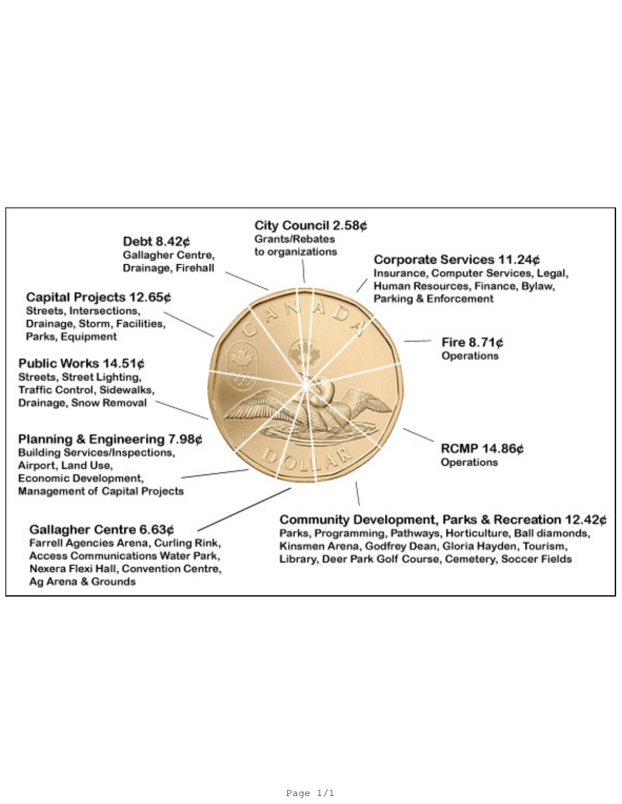